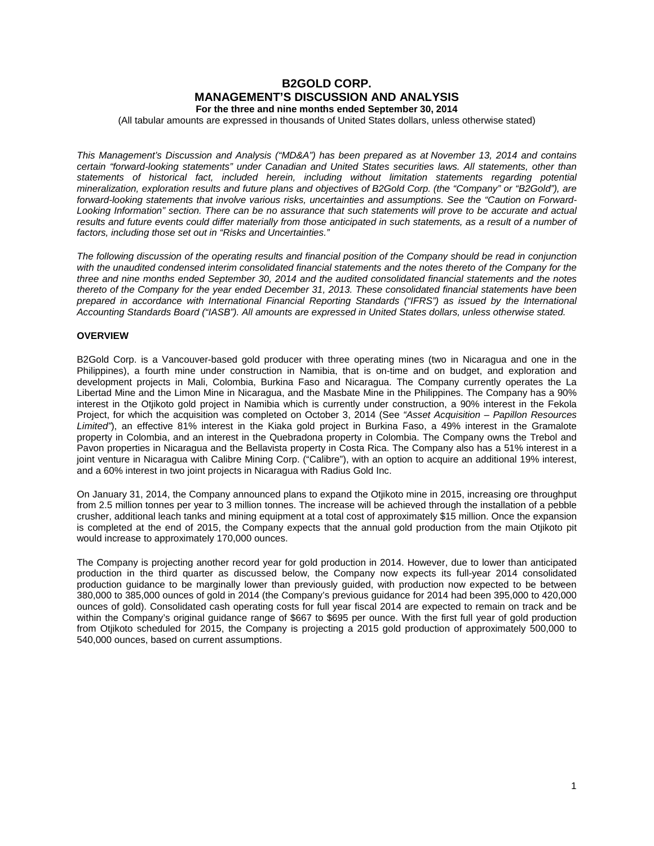# **B2GOLD CORP. MANAGEMENT'S DISCUSSION AND ANALYSIS For the three and nine months ended September 30, 2014**

(All tabular amounts are expressed in thousands of United States dollars, unless otherwise stated)

*This Management's Discussion and Analysis ("MD&A") has been prepared as at November 13, 2014 and contains certain "forward-looking statements" under Canadian and United States securities laws. All statements, other than statements of historical fact, included herein, including without limitation statements regarding potential mineralization, exploration results and future plans and objectives of B2Gold Corp. (the "Company" or "B2Gold"), are forward-looking statements that involve various risks, uncertainties and assumptions. See the "Caution on Forward-Looking Information" section. There can be no assurance that such statements will prove to be accurate and actual*  results and future events could differ materially from those anticipated in such statements, as a result of a number of

*The following discussion of the operating results and financial position of the Company should be read in conjunction with the unaudited condensed interim consolidated financial statements and the notes thereto of the Company for the three and nine months ended September 30, 2014 and the audited consolidated financial statements and the notes thereto of the Company for the year ended December 31, 2013. These consolidated financial statements have been prepared in accordance with International Financial Reporting Standards ("IFRS") as issued by the International Accounting Standards Board ("IASB"). All amounts are expressed in United States dollars, unless otherwise stated.*

## **OVERVIEW**

*factors, including those set out in "Risks and Uncertainties."*

B2Gold Corp. is a Vancouver-based gold producer with three operating mines (two in Nicaragua and one in the Philippines), a fourth mine under construction in Namibia, that is on-time and on budget, and exploration and development projects in Mali, Colombia, Burkina Faso and Nicaragua. The Company currently operates the La Libertad Mine and the Limon Mine in Nicaragua, and the Masbate Mine in the Philippines. The Company has a 90% interest in the Otjikoto gold project in Namibia which is currently under construction, a 90% interest in the Fekola Project, for which the acquisition was completed on October 3, 2014 (See *"Asset Acquisition – Papillon Resources Limited"*), an effective 81% interest in the Kiaka gold project in Burkina Faso, a 49% interest in the Gramalote property in Colombia, and an interest in the Quebradona property in Colombia. The Company owns the Trebol and Pavon properties in Nicaragua and the Bellavista property in Costa Rica. The Company also has a 51% interest in a joint venture in Nicaragua with Calibre Mining Corp. ("Calibre"), with an option to acquire an additional 19% interest, and a 60% interest in two joint projects in Nicaragua with Radius Gold Inc.

On January 31, 2014, the Company announced plans to expand the Otjikoto mine in 2015, increasing ore throughput from 2.5 million tonnes per year to 3 million tonnes. The increase will be achieved through the installation of a pebble crusher, additional leach tanks and mining equipment at a total cost of approximately \$15 million. Once the expansion is completed at the end of 2015, the Company expects that the annual gold production from the main Otjikoto pit would increase to approximately 170,000 ounces.

The Company is projecting another record year for gold production in 2014. However, due to lower than anticipated production in the third quarter as discussed below, the Company now expects its full-year 2014 consolidated production guidance to be marginally lower than previously guided, with production now expected to be between 380,000 to 385,000 ounces of gold in 2014 (the Company's previous guidance for 2014 had been 395,000 to 420,000 ounces of gold). Consolidated cash operating costs for full year fiscal 2014 are expected to remain on track and be within the Company's original guidance range of \$667 to \$695 per ounce. With the first full year of gold production from Otjikoto scheduled for 2015, the Company is projecting a 2015 gold production of approximately 500,000 to 540,000 ounces, based on current assumptions.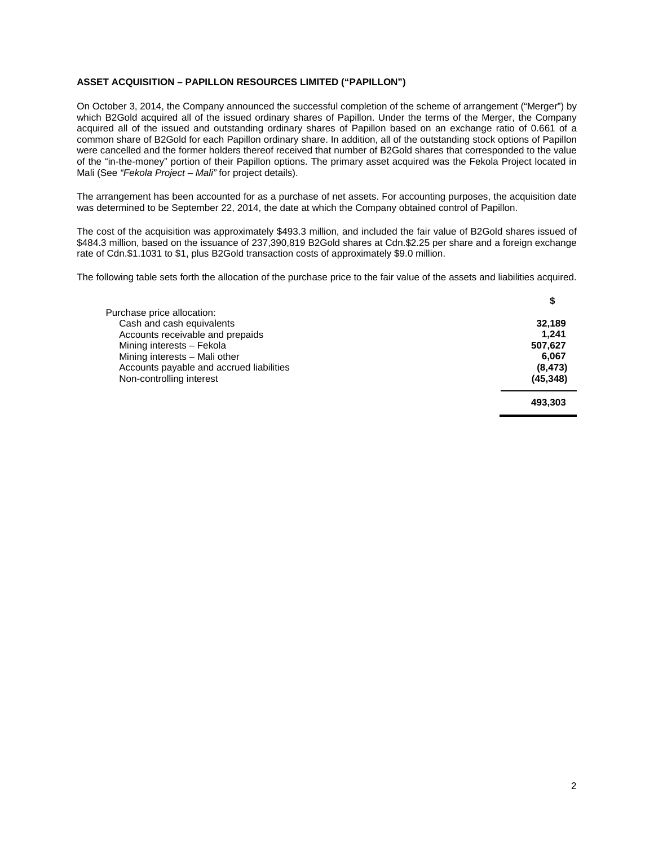## **ASSET ACQUISITION – PAPILLON RESOURCES LIMITED ("PAPILLON")**

On October 3, 2014, the Company announced the successful completion of the scheme of arrangement ("Merger") by which B2Gold acquired all of the issued ordinary shares of Papillon. Under the terms of the Merger, the Company acquired all of the issued and outstanding ordinary shares of Papillon based on an exchange ratio of 0.661 of a common share of B2Gold for each Papillon ordinary share. In addition, all of the outstanding stock options of Papillon were cancelled and the former holders thereof received that number of B2Gold shares that corresponded to the value of the "in-the-money" portion of their Papillon options. The primary asset acquired was the Fekola Project located in Mali (See *"Fekola Project – Mali"* for project details).

The arrangement has been accounted for as a purchase of net assets. For accounting purposes, the acquisition date was determined to be September 22, 2014, the date at which the Company obtained control of Papillon.

The cost of the acquisition was approximately \$493.3 million, and included the fair value of B2Gold shares issued of \$484.3 million, based on the issuance of 237,390,819 B2Gold shares at Cdn.\$2.25 per share and a foreign exchange rate of Cdn.\$1.1031 to \$1, plus B2Gold transaction costs of approximately \$9.0 million.

The following table sets forth the allocation of the purchase price to the fair value of the assets and liabilities acquired.

| Purchase price allocation:               |           |
|------------------------------------------|-----------|
| Cash and cash equivalents                | 32,189    |
| Accounts receivable and prepaids         | 1.241     |
| Mining interests - Fekola                | 507.627   |
| Mining interests - Mali other            | 6.067     |
| Accounts payable and accrued liabilities | (8, 473)  |
| Non-controlling interest                 | (45, 348) |
|                                          | $\cdots$  |

**493,303**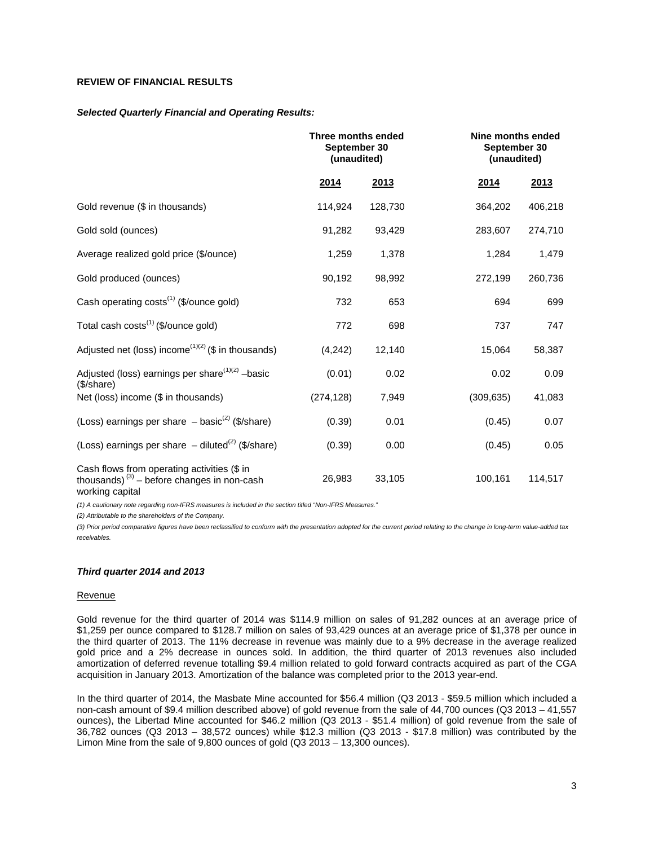## **REVIEW OF FINANCIAL RESULTS**

#### *Selected Quarterly Financial and Operating Results:*

|                                                                                                                 | Three months ended<br>September 30<br>(unaudited) |         |            | Nine months ended<br>September 30<br>(unaudited) |  |
|-----------------------------------------------------------------------------------------------------------------|---------------------------------------------------|---------|------------|--------------------------------------------------|--|
|                                                                                                                 | 2014                                              | 2013    | 2014       | 2013                                             |  |
| Gold revenue (\$ in thousands)                                                                                  | 114,924                                           | 128,730 | 364,202    | 406,218                                          |  |
| Gold sold (ounces)                                                                                              | 91,282                                            | 93,429  | 283,607    | 274,710                                          |  |
| Average realized gold price (\$/ounce)                                                                          | 1,259                                             | 1,378   | 1,284      | 1,479                                            |  |
| Gold produced (ounces)                                                                                          | 90,192                                            | 98,992  | 272,199    | 260,736                                          |  |
| Cash operating costs <sup>(1)</sup> (\$/ounce gold)                                                             | 732                                               | 653     | 694        | 699                                              |  |
| Total cash costs <sup>(1)</sup> (\$/ounce gold)                                                                 | 772                                               | 698     | 737        | 747                                              |  |
| Adjusted net (loss) income <sup>(1)(2)</sup> (\$ in thousands)                                                  | (4,242)                                           | 12,140  | 15,064     | 58,387                                           |  |
| Adjusted (loss) earnings per share <sup>(1)(2)</sup> -basic<br>(\$/share)                                       | (0.01)                                            | 0.02    | 0.02       | 0.09                                             |  |
| Net (loss) income (\$ in thousands)                                                                             | (274, 128)                                        | 7,949   | (309, 635) | 41,083                                           |  |
| (Loss) earnings per share $-$ basic <sup>(2)</sup> (\$/share)                                                   | (0.39)                                            | 0.01    | (0.45)     | 0.07                                             |  |
| (Loss) earnings per share $-$ diluted <sup>(2)</sup> (\$/share)                                                 | (0.39)                                            | 0.00    | (0.45)     | 0.05                                             |  |
| Cash flows from operating activities (\$ in<br>thousands) $(3)$ – before changes in non-cash<br>working capital | 26,983                                            | 33,105  | 100,161    | 114,517                                          |  |

*(1) A cautionary note regarding non-IFRS measures is included in the section titled "Non-IFRS Measures."*

*(2) Attributable to the shareholders of the Company.*

*(3) Prior period comparative figures have been reclassified to conform with the presentation adopted for the current period relating to the change in long-term value-added tax receivables.* 

#### *Third quarter 2014 and 2013*

#### **Revenue**

Gold revenue for the third quarter of 2014 was \$114.9 million on sales of 91,282 ounces at an average price of \$1,259 per ounce compared to \$128.7 million on sales of 93,429 ounces at an average price of \$1,378 per ounce in the third quarter of 2013. The 11% decrease in revenue was mainly due to a 9% decrease in the average realized gold price and a 2% decrease in ounces sold. In addition, the third quarter of 2013 revenues also included amortization of deferred revenue totalling \$9.4 million related to gold forward contracts acquired as part of the CGA acquisition in January 2013. Amortization of the balance was completed prior to the 2013 year-end.

In the third quarter of 2014, the Masbate Mine accounted for \$56.4 million (Q3 2013 - \$59.5 million which included a non-cash amount of \$9.4 million described above) of gold revenue from the sale of 44,700 ounces (Q3 2013 – 41,557 ounces), the Libertad Mine accounted for \$46.2 million (Q3 2013 - \$51.4 million) of gold revenue from the sale of 36,782 ounces (Q3 2013 – 38,572 ounces) while \$12.3 million (Q3 2013 - \$17.8 million) was contributed by the Limon Mine from the sale of 9,800 ounces of gold (Q3 2013 – 13,300 ounces).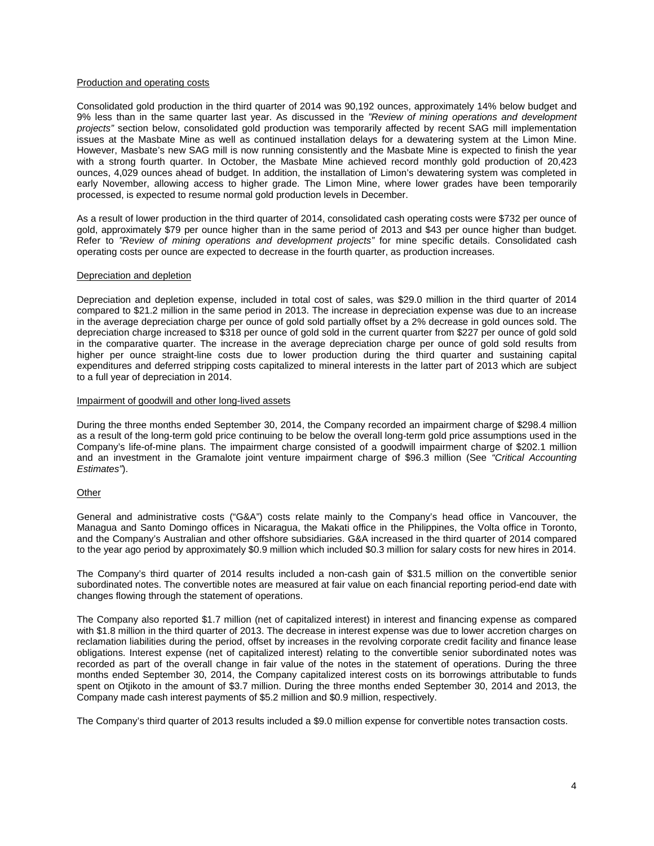### Production and operating costs

Consolidated gold production in the third quarter of 2014 was 90,192 ounces, approximately 14% below budget and 9% less than in the same quarter last year. As discussed in the *"Review of mining operations and development projects"* section below, consolidated gold production was temporarily affected by recent SAG mill implementation issues at the Masbate Mine as well as continued installation delays for a dewatering system at the Limon Mine. However, Masbate's new SAG mill is now running consistently and the Masbate Mine is expected to finish the year with a strong fourth quarter. In October, the Masbate Mine achieved record monthly gold production of 20,423 ounces, 4,029 ounces ahead of budget. In addition, the installation of Limon's dewatering system was completed in early November, allowing access to higher grade. The Limon Mine, where lower grades have been temporarily processed, is expected to resume normal gold production levels in December.

As a result of lower production in the third quarter of 2014, consolidated cash operating costs were \$732 per ounce of gold, approximately \$79 per ounce higher than in the same period of 2013 and \$43 per ounce higher than budget. Refer to *"Review of mining operations and development projects"* for mine specific details. Consolidated cash operating costs per ounce are expected to decrease in the fourth quarter, as production increases.

### Depreciation and depletion

Depreciation and depletion expense, included in total cost of sales, was \$29.0 million in the third quarter of 2014 compared to \$21.2 million in the same period in 2013. The increase in depreciation expense was due to an increase in the average depreciation charge per ounce of gold sold partially offset by a 2% decrease in gold ounces sold. The depreciation charge increased to \$318 per ounce of gold sold in the current quarter from \$227 per ounce of gold sold in the comparative quarter. The increase in the average depreciation charge per ounce of gold sold results from higher per ounce straight-line costs due to lower production during the third quarter and sustaining capital expenditures and deferred stripping costs capitalized to mineral interests in the latter part of 2013 which are subject to a full year of depreciation in 2014.

#### Impairment of goodwill and other long-lived assets

During the three months ended September 30, 2014, the Company recorded an impairment charge of \$298.4 million as a result of the long-term gold price continuing to be below the overall long-term gold price assumptions used in the Company's life-of-mine plans. The impairment charge consisted of a goodwill impairment charge of \$202.1 million and an investment in the Gramalote joint venture impairment charge of \$96.3 million (See *"Critical Accounting Estimates"*).

## **Other**

General and administrative costs ("G&A") costs relate mainly to the Company's head office in Vancouver, the Managua and Santo Domingo offices in Nicaragua, the Makati office in the Philippines, the Volta office in Toronto, and the Company's Australian and other offshore subsidiaries. G&A increased in the third quarter of 2014 compared to the year ago period by approximately \$0.9 million which included \$0.3 million for salary costs for new hires in 2014.

The Company's third quarter of 2014 results included a non-cash gain of \$31.5 million on the convertible senior subordinated notes. The convertible notes are measured at fair value on each financial reporting period-end date with changes flowing through the statement of operations.

The Company also reported \$1.7 million (net of capitalized interest) in interest and financing expense as compared with \$1.8 million in the third quarter of 2013. The decrease in interest expense was due to lower accretion charges on reclamation liabilities during the period, offset by increases in the revolving corporate credit facility and finance lease obligations. Interest expense (net of capitalized interest) relating to the convertible senior subordinated notes was recorded as part of the overall change in fair value of the notes in the statement of operations. During the three months ended September 30, 2014, the Company capitalized interest costs on its borrowings attributable to funds spent on Otjikoto in the amount of \$3.7 million. During the three months ended September 30, 2014 and 2013, the Company made cash interest payments of \$5.2 million and \$0.9 million, respectively.

The Company's third quarter of 2013 results included a \$9.0 million expense for convertible notes transaction costs.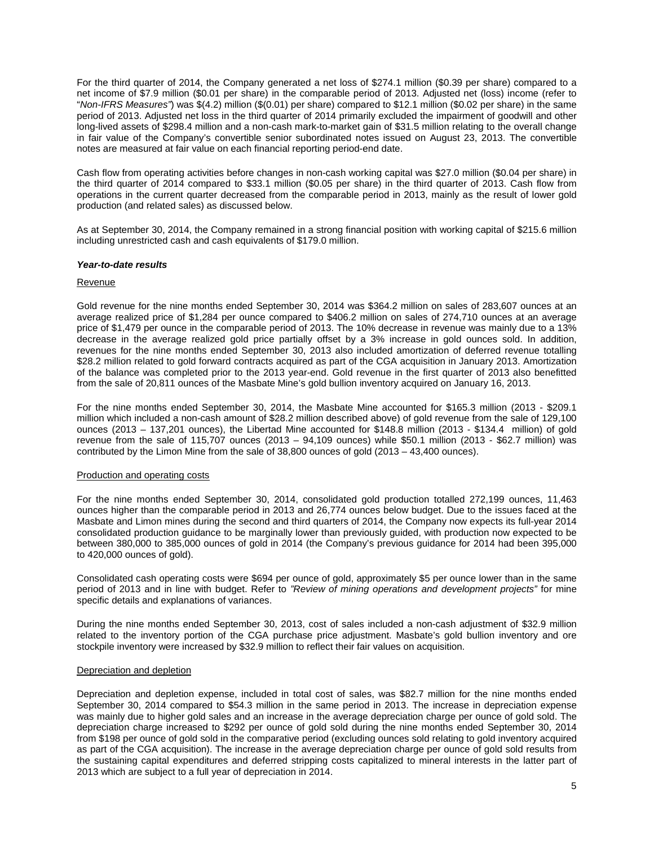For the third quarter of 2014, the Company generated a net loss of \$274.1 million (\$0.39 per share) compared to a net income of \$7.9 million (\$0.01 per share) in the comparable period of 2013. Adjusted net (loss) income (refer to "*Non-IFRS Measures"*) was \$(4.2) million (\$(0.01) per share) compared to \$12.1 million (\$0.02 per share) in the same period of 2013. Adjusted net loss in the third quarter of 2014 primarily excluded the impairment of goodwill and other long-lived assets of \$298.4 million and a non-cash mark-to-market gain of \$31.5 million relating to the overall change in fair value of the Company's convertible senior subordinated notes issued on August 23, 2013. The convertible notes are measured at fair value on each financial reporting period-end date.

Cash flow from operating activities before changes in non-cash working capital was \$27.0 million (\$0.04 per share) in the third quarter of 2014 compared to \$33.1 million (\$0.05 per share) in the third quarter of 2013. Cash flow from operations in the current quarter decreased from the comparable period in 2013, mainly as the result of lower gold production (and related sales) as discussed below.

As at September 30, 2014, the Company remained in a strong financial position with working capital of \$215.6 million including unrestricted cash and cash equivalents of \$179.0 million.

#### *Year-to-date results*

### Revenue

Gold revenue for the nine months ended September 30, 2014 was \$364.2 million on sales of 283,607 ounces at an average realized price of \$1,284 per ounce compared to \$406.2 million on sales of 274,710 ounces at an average price of \$1,479 per ounce in the comparable period of 2013. The 10% decrease in revenue was mainly due to a 13% decrease in the average realized gold price partially offset by a 3% increase in gold ounces sold. In addition, revenues for the nine months ended September 30, 2013 also included amortization of deferred revenue totalling \$28.2 million related to gold forward contracts acquired as part of the CGA acquisition in January 2013. Amortization of the balance was completed prior to the 2013 year-end. Gold revenue in the first quarter of 2013 also benefitted from the sale of 20,811 ounces of the Masbate Mine's gold bullion inventory acquired on January 16, 2013.

For the nine months ended September 30, 2014, the Masbate Mine accounted for \$165.3 million (2013 - \$209.1 million which included a non-cash amount of \$28.2 million described above) of gold revenue from the sale of 129,100 ounces (2013 – 137,201 ounces), the Libertad Mine accounted for \$148.8 million (2013 - \$134.4 million) of gold revenue from the sale of 115,707 ounces (2013 – 94,109 ounces) while \$50.1 million (2013 - \$62.7 million) was contributed by the Limon Mine from the sale of 38,800 ounces of gold (2013 – 43,400 ounces).

## Production and operating costs

For the nine months ended September 30, 2014, consolidated gold production totalled 272,199 ounces, 11,463 ounces higher than the comparable period in 2013 and 26,774 ounces below budget. Due to the issues faced at the Masbate and Limon mines during the second and third quarters of 2014, the Company now expects its full-year 2014 consolidated production guidance to be marginally lower than previously guided, with production now expected to be between 380,000 to 385,000 ounces of gold in 2014 (the Company's previous guidance for 2014 had been 395,000 to 420,000 ounces of gold).

Consolidated cash operating costs were \$694 per ounce of gold, approximately \$5 per ounce lower than in the same period of 2013 and in line with budget. Refer to *"Review of mining operations and development projects"* for mine specific details and explanations of variances.

During the nine months ended September 30, 2013, cost of sales included a non-cash adjustment of \$32.9 million related to the inventory portion of the CGA purchase price adjustment. Masbate's gold bullion inventory and ore stockpile inventory were increased by \$32.9 million to reflect their fair values on acquisition.

### Depreciation and depletion

Depreciation and depletion expense, included in total cost of sales, was \$82.7 million for the nine months ended September 30, 2014 compared to \$54.3 million in the same period in 2013. The increase in depreciation expense was mainly due to higher gold sales and an increase in the average depreciation charge per ounce of gold sold. The depreciation charge increased to \$292 per ounce of gold sold during the nine months ended September 30, 2014 from \$198 per ounce of gold sold in the comparative period (excluding ounces sold relating to gold inventory acquired as part of the CGA acquisition). The increase in the average depreciation charge per ounce of gold sold results from the sustaining capital expenditures and deferred stripping costs capitalized to mineral interests in the latter part of 2013 which are subject to a full year of depreciation in 2014.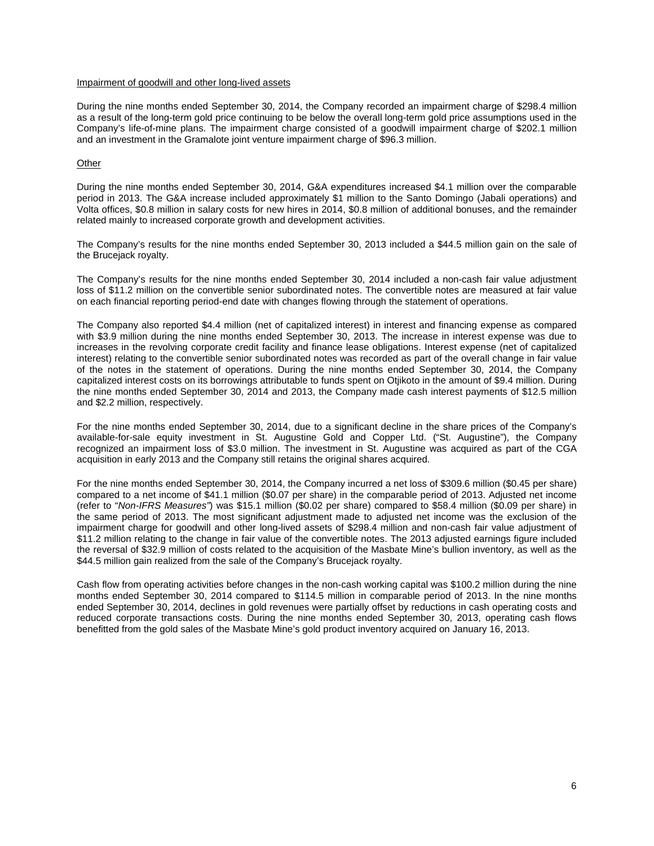## Impairment of goodwill and other long-lived assets

During the nine months ended September 30, 2014, the Company recorded an impairment charge of \$298.4 million as a result of the long-term gold price continuing to be below the overall long-term gold price assumptions used in the Company's life-of-mine plans. The impairment charge consisted of a goodwill impairment charge of \$202.1 million and an investment in the Gramalote joint venture impairment charge of \$96.3 million.

### **Other**

During the nine months ended September 30, 2014, G&A expenditures increased \$4.1 million over the comparable period in 2013. The G&A increase included approximately \$1 million to the Santo Domingo (Jabali operations) and Volta offices, \$0.8 million in salary costs for new hires in 2014, \$0.8 million of additional bonuses, and the remainder related mainly to increased corporate growth and development activities.

The Company's results for the nine months ended September 30, 2013 included a \$44.5 million gain on the sale of the Brucejack royalty.

The Company's results for the nine months ended September 30, 2014 included a non-cash fair value adjustment loss of \$11.2 million on the convertible senior subordinated notes. The convertible notes are measured at fair value on each financial reporting period-end date with changes flowing through the statement of operations.

The Company also reported \$4.4 million (net of capitalized interest) in interest and financing expense as compared with \$3.9 million during the nine months ended September 30, 2013. The increase in interest expense was due to increases in the revolving corporate credit facility and finance lease obligations. Interest expense (net of capitalized interest) relating to the convertible senior subordinated notes was recorded as part of the overall change in fair value of the notes in the statement of operations. During the nine months ended September 30, 2014, the Company capitalized interest costs on its borrowings attributable to funds spent on Otjikoto in the amount of \$9.4 million. During the nine months ended September 30, 2014 and 2013, the Company made cash interest payments of \$12.5 million and \$2.2 million, respectively.

For the nine months ended September 30, 2014, due to a significant decline in the share prices of the Company's available-for-sale equity investment in St. Augustine Gold and Copper Ltd. ("St. Augustine"), the Company recognized an impairment loss of \$3.0 million. The investment in St. Augustine was acquired as part of the CGA acquisition in early 2013 and the Company still retains the original shares acquired.

For the nine months ended September 30, 2014, the Company incurred a net loss of \$309.6 million (\$0.45 per share) compared to a net income of \$41.1 million (\$0.07 per share) in the comparable period of 2013. Adjusted net income (refer to "*Non-IFRS Measures"*) was \$15.1 million (\$0.02 per share) compared to \$58.4 million (\$0.09 per share) in the same period of 2013. The most significant adjustment made to adjusted net income was the exclusion of the impairment charge for goodwill and other long-lived assets of \$298.4 million and non-cash fair value adjustment of \$11.2 million relating to the change in fair value of the convertible notes. The 2013 adjusted earnings figure included the reversal of \$32.9 million of costs related to the acquisition of the Masbate Mine's bullion inventory, as well as the \$44.5 million gain realized from the sale of the Company's Brucejack royalty.

Cash flow from operating activities before changes in the non-cash working capital was \$100.2 million during the nine months ended September 30, 2014 compared to \$114.5 million in comparable period of 2013. In the nine months ended September 30, 2014, declines in gold revenues were partially offset by reductions in cash operating costs and reduced corporate transactions costs. During the nine months ended September 30, 2013, operating cash flows benefitted from the gold sales of the Masbate Mine's gold product inventory acquired on January 16, 2013.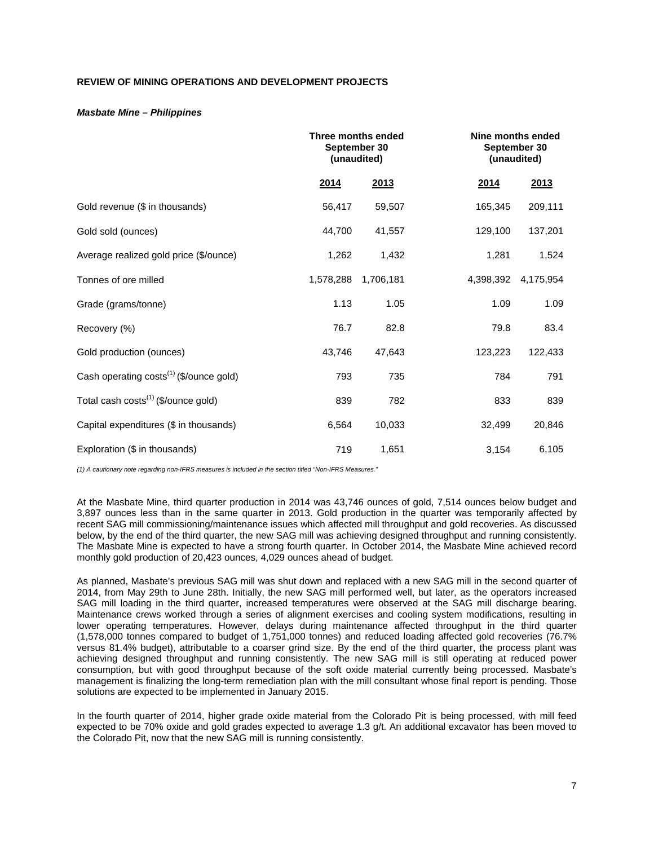## **REVIEW OF MINING OPERATIONS AND DEVELOPMENT PROJECTS**

### *Masbate Mine – Philippines*

|                                                     | Three months ended | September 30<br>(unaudited) | Nine months ended<br>September 30<br>(unaudited) |           |  |
|-----------------------------------------------------|--------------------|-----------------------------|--------------------------------------------------|-----------|--|
|                                                     | 2014               | 2013                        | 2014                                             | 2013      |  |
| Gold revenue (\$ in thousands)                      | 56,417             | 59,507                      | 165,345                                          | 209,111   |  |
| Gold sold (ounces)                                  | 44,700             | 41,557                      | 129,100                                          | 137,201   |  |
| Average realized gold price (\$/ounce)              | 1,262              | 1,432                       | 1,281                                            | 1,524     |  |
| Tonnes of ore milled                                | 1,578,288          | 1,706,181                   | 4,398,392                                        | 4,175,954 |  |
| Grade (grams/tonne)                                 | 1.13               | 1.05                        | 1.09                                             | 1.09      |  |
| Recovery (%)                                        | 76.7               | 82.8                        | 79.8                                             | 83.4      |  |
| Gold production (ounces)                            | 43,746             | 47,643                      | 123,223                                          | 122,433   |  |
| Cash operating costs <sup>(1)</sup> (\$/ounce gold) | 793                | 735                         | 784                                              | 791       |  |
| Total cash costs <sup>(1)</sup> (\$/ounce gold)     | 839                | 782                         | 833                                              | 839       |  |
| Capital expenditures (\$ in thousands)              | 6,564              | 10,033                      | 32,499                                           | 20,846    |  |
| Exploration (\$ in thousands)                       | 719                | 1,651                       | 3,154                                            | 6,105     |  |

*(1) A cautionary note regarding non-IFRS measures is included in the section titled "Non-IFRS Measures."* 

At the Masbate Mine, third quarter production in 2014 was 43,746 ounces of gold, 7,514 ounces below budget and 3,897 ounces less than in the same quarter in 2013. Gold production in the quarter was temporarily affected by recent SAG mill commissioning/maintenance issues which affected mill throughput and gold recoveries. As discussed below, by the end of the third quarter, the new SAG mill was achieving designed throughput and running consistently. The Masbate Mine is expected to have a strong fourth quarter. In October 2014, the Masbate Mine achieved record monthly gold production of 20,423 ounces, 4,029 ounces ahead of budget.

As planned, Masbate's previous SAG mill was shut down and replaced with a new SAG mill in the second quarter of 2014, from May 29th to June 28th. Initially, the new SAG mill performed well, but later, as the operators increased SAG mill loading in the third quarter, increased temperatures were observed at the SAG mill discharge bearing. Maintenance crews worked through a series of alignment exercises and cooling system modifications, resulting in lower operating temperatures. However, delays during maintenance affected throughput in the third quarter (1,578,000 tonnes compared to budget of 1,751,000 tonnes) and reduced loading affected gold recoveries (76.7% versus 81.4% budget), attributable to a coarser grind size. By the end of the third quarter, the process plant was achieving designed throughput and running consistently. The new SAG mill is still operating at reduced power consumption, but with good throughput because of the soft oxide material currently being processed. Masbate's management is finalizing the long-term remediation plan with the mill consultant whose final report is pending. Those solutions are expected to be implemented in January 2015.

In the fourth quarter of 2014, higher grade oxide material from the Colorado Pit is being processed, with mill feed expected to be 70% oxide and gold grades expected to average 1.3 g/t. An additional excavator has been moved to the Colorado Pit, now that the new SAG mill is running consistently.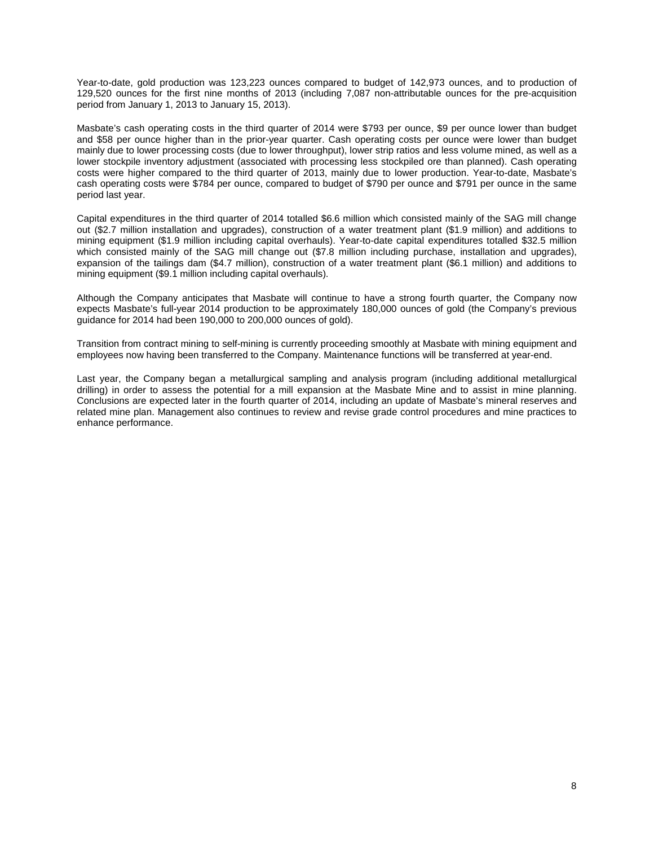Year-to-date, gold production was 123,223 ounces compared to budget of 142,973 ounces, and to production of 129,520 ounces for the first nine months of 2013 (including 7,087 non-attributable ounces for the pre-acquisition period from January 1, 2013 to January 15, 2013).

Masbate's cash operating costs in the third quarter of 2014 were \$793 per ounce, \$9 per ounce lower than budget and \$58 per ounce higher than in the prior-year quarter. Cash operating costs per ounce were lower than budget mainly due to lower processing costs (due to lower throughput), lower strip ratios and less volume mined, as well as a lower stockpile inventory adjustment (associated with processing less stockpiled ore than planned). Cash operating costs were higher compared to the third quarter of 2013, mainly due to lower production. Year-to-date, Masbate's cash operating costs were \$784 per ounce, compared to budget of \$790 per ounce and \$791 per ounce in the same period last year.

Capital expenditures in the third quarter of 2014 totalled \$6.6 million which consisted mainly of the SAG mill change out (\$2.7 million installation and upgrades), construction of a water treatment plant (\$1.9 million) and additions to mining equipment (\$1.9 million including capital overhauls). Year-to-date capital expenditures totalled \$32.5 million which consisted mainly of the SAG mill change out (\$7.8 million including purchase, installation and upgrades), expansion of the tailings dam (\$4.7 million), construction of a water treatment plant (\$6.1 million) and additions to mining equipment (\$9.1 million including capital overhauls).

Although the Company anticipates that Masbate will continue to have a strong fourth quarter, the Company now expects Masbate's full-year 2014 production to be approximately 180,000 ounces of gold (the Company's previous guidance for 2014 had been 190,000 to 200,000 ounces of gold).

Transition from contract mining to self-mining is currently proceeding smoothly at Masbate with mining equipment and employees now having been transferred to the Company. Maintenance functions will be transferred at year-end.

Last year, the Company began a metallurgical sampling and analysis program (including additional metallurgical drilling) in order to assess the potential for a mill expansion at the Masbate Mine and to assist in mine planning. Conclusions are expected later in the fourth quarter of 2014, including an update of Masbate's mineral reserves and related mine plan. Management also continues to review and revise grade control procedures and mine practices to enhance performance.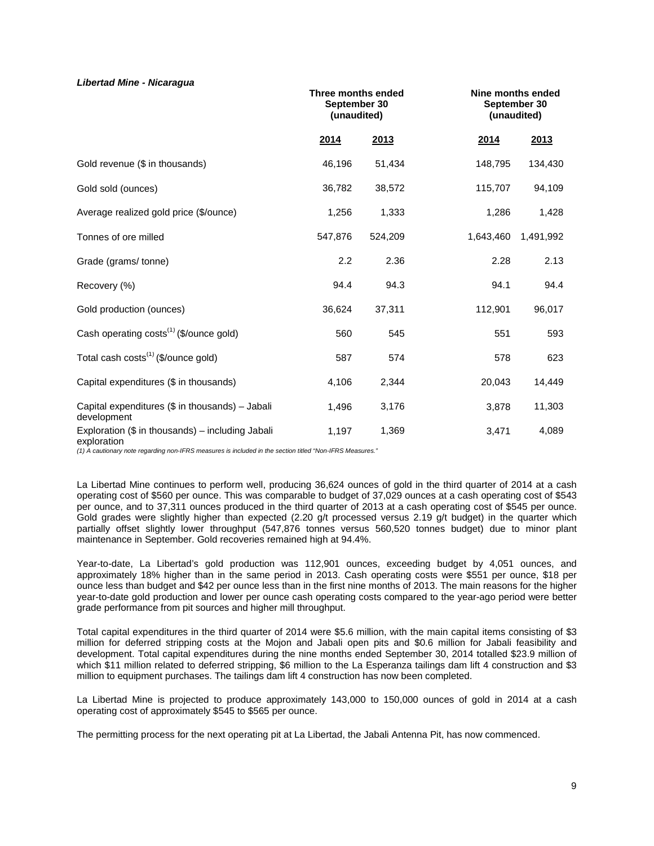### *Libertad Mine - Nicaragua*

|                                                                   | Three months ended<br>September 30<br>(unaudited) |         |           | Nine months ended<br>September 30<br>(unaudited) |
|-------------------------------------------------------------------|---------------------------------------------------|---------|-----------|--------------------------------------------------|
|                                                                   | 2014                                              | 2013    | 2014      | 2013                                             |
| Gold revenue (\$ in thousands)                                    | 46,196                                            | 51,434  | 148,795   | 134,430                                          |
| Gold sold (ounces)                                                | 36,782                                            | 38,572  | 115,707   | 94,109                                           |
| Average realized gold price (\$/ounce)                            | 1,256                                             | 1,333   | 1,286     | 1,428                                            |
| Tonnes of ore milled                                              | 547,876                                           | 524,209 | 1,643,460 | 1,491,992                                        |
| Grade (grams/tonne)                                               | 2.2                                               | 2.36    | 2.28      | 2.13                                             |
| Recovery (%)                                                      | 94.4                                              | 94.3    | 94.1      | 94.4                                             |
| Gold production (ounces)                                          | 36,624                                            | 37,311  | 112,901   | 96,017                                           |
| Cash operating costs <sup>(1)</sup> (\$/ounce gold)               | 560                                               | 545     | 551       | 593                                              |
| Total cash costs <sup>(1)</sup> (\$/ounce gold)                   | 587                                               | 574     | 578       | 623                                              |
| Capital expenditures (\$ in thousands)                            | 4,106                                             | 2,344   | 20,043    | 14,449                                           |
| Capital expenditures (\$ in thousands) - Jabali<br>development    | 1,496                                             | 3,176   | 3,878     | 11,303                                           |
| Exploration $(\$$ in thousands) – including Jabali<br>exploration | 1,197                                             | 1,369   | 3,471     | 4,089                                            |

exploration *(1) A cautionary note regarding non-IFRS measures is included in the section titled "Non-IFRS Measures."* 

La Libertad Mine continues to perform well, producing 36,624 ounces of gold in the third quarter of 2014 at a cash operating cost of \$560 per ounce. This was comparable to budget of 37,029 ounces at a cash operating cost of \$543 per ounce, and to 37,311 ounces produced in the third quarter of 2013 at a cash operating cost of \$545 per ounce. Gold grades were slightly higher than expected (2.20 g/t processed versus 2.19 g/t budget) in the quarter which partially offset slightly lower throughput (547,876 tonnes versus 560,520 tonnes budget) due to minor plant maintenance in September. Gold recoveries remained high at 94.4%.

Year-to-date, La Libertad's gold production was 112,901 ounces, exceeding budget by 4,051 ounces, and approximately 18% higher than in the same period in 2013. Cash operating costs were \$551 per ounce, \$18 per ounce less than budget and \$42 per ounce less than in the first nine months of 2013. The main reasons for the higher year-to-date gold production and lower per ounce cash operating costs compared to the year-ago period were better grade performance from pit sources and higher mill throughput.

Total capital expenditures in the third quarter of 2014 were \$5.6 million, with the main capital items consisting of \$3 million for deferred stripping costs at the Mojon and Jabali open pits and \$0.6 million for Jabali feasibility and development. Total capital expenditures during the nine months ended September 30, 2014 totalled \$23.9 million of which \$11 million related to deferred stripping, \$6 million to the La Esperanza tailings dam lift 4 construction and \$3 million to equipment purchases. The tailings dam lift 4 construction has now been completed.

La Libertad Mine is projected to produce approximately 143,000 to 150,000 ounces of gold in 2014 at a cash operating cost of approximately \$545 to \$565 per ounce.

The permitting process for the next operating pit at La Libertad, the Jabali Antenna Pit, has now commenced.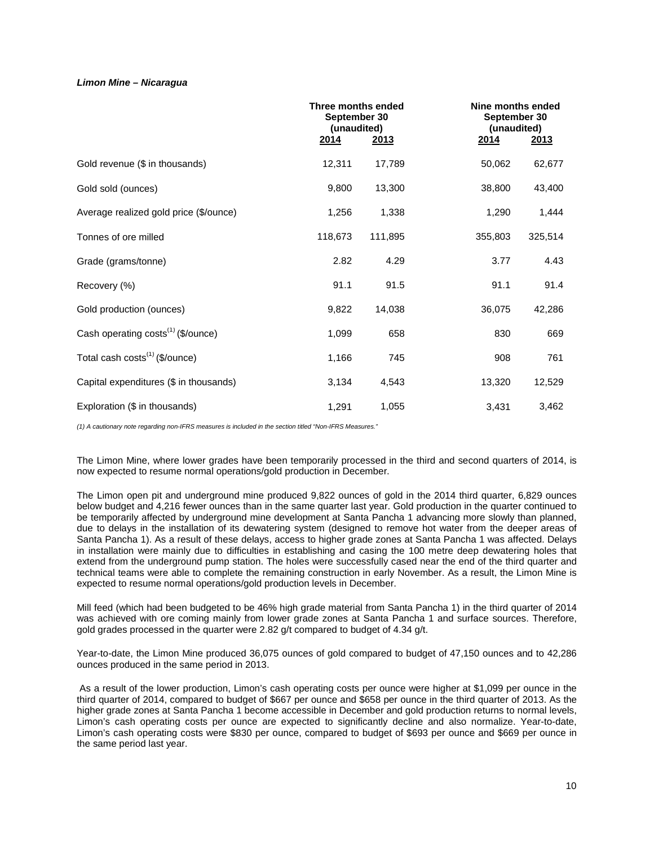## *Limon Mine – Nicaragua*

|                                                | Three months ended<br>(unaudited)<br><u>2014</u> | September 30<br><u>2013</u> | <u>2014</u> | Nine months ended<br>September 30<br>(unaudited)<br>2013 |  |  |
|------------------------------------------------|--------------------------------------------------|-----------------------------|-------------|----------------------------------------------------------|--|--|
| Gold revenue (\$ in thousands)                 | 12,311                                           | 17,789                      | 50,062      | 62,677                                                   |  |  |
| Gold sold (ounces)                             | 9,800                                            | 13,300                      | 38,800      | 43,400                                                   |  |  |
| Average realized gold price (\$/ounce)         | 1,256                                            | 1,338                       | 1,290       | 1,444                                                    |  |  |
| Tonnes of ore milled                           | 118,673                                          | 111,895                     | 355,803     | 325,514                                                  |  |  |
| Grade (grams/tonne)                            | 2.82                                             | 4.29                        | 3.77        | 4.43                                                     |  |  |
| Recovery (%)                                   | 91.1                                             | 91.5                        | 91.1        | 91.4                                                     |  |  |
| Gold production (ounces)                       | 9,822                                            | 14,038                      | 36,075      | 42,286                                                   |  |  |
| Cash operating costs <sup>(1)</sup> (\$/ounce) | 1,099                                            | 658                         | 830         | 669                                                      |  |  |
| Total cash costs <sup>(1)</sup> (\$/ounce)     | 1,166                                            | 745                         | 908         | 761                                                      |  |  |
| Capital expenditures (\$ in thousands)         | 3,134                                            | 4,543                       | 13,320      | 12,529                                                   |  |  |
| Exploration (\$ in thousands)                  | 1,291                                            | 1,055                       | 3,431       | 3,462                                                    |  |  |

*(1) A cautionary note regarding non-IFRS measures is included in the section titled "Non-IFRS Measures."*

The Limon Mine, where lower grades have been temporarily processed in the third and second quarters of 2014, is now expected to resume normal operations/gold production in December.

The Limon open pit and underground mine produced 9,822 ounces of gold in the 2014 third quarter, 6,829 ounces below budget and 4,216 fewer ounces than in the same quarter last year. Gold production in the quarter continued to be temporarily affected by underground mine development at Santa Pancha 1 advancing more slowly than planned, due to delays in the installation of its dewatering system (designed to remove hot water from the deeper areas of Santa Pancha 1). As a result of these delays, access to higher grade zones at Santa Pancha 1 was affected. Delays in installation were mainly due to difficulties in establishing and casing the 100 metre deep dewatering holes that extend from the underground pump station. The holes were successfully cased near the end of the third quarter and technical teams were able to complete the remaining construction in early November. As a result, the Limon Mine is expected to resume normal operations/gold production levels in December.

Mill feed (which had been budgeted to be 46% high grade material from Santa Pancha 1) in the third quarter of 2014 was achieved with ore coming mainly from lower grade zones at Santa Pancha 1 and surface sources. Therefore, gold grades processed in the quarter were 2.82 g/t compared to budget of 4.34 g/t.

Year-to-date, the Limon Mine produced 36,075 ounces of gold compared to budget of 47,150 ounces and to 42,286 ounces produced in the same period in 2013.

As a result of the lower production, Limon's cash operating costs per ounce were higher at \$1,099 per ounce in the third quarter of 2014, compared to budget of \$667 per ounce and \$658 per ounce in the third quarter of 2013. As the higher grade zones at Santa Pancha 1 become accessible in December and gold production returns to normal levels, Limon's cash operating costs per ounce are expected to significantly decline and also normalize. Year-to-date, Limon's cash operating costs were \$830 per ounce, compared to budget of \$693 per ounce and \$669 per ounce in the same period last year.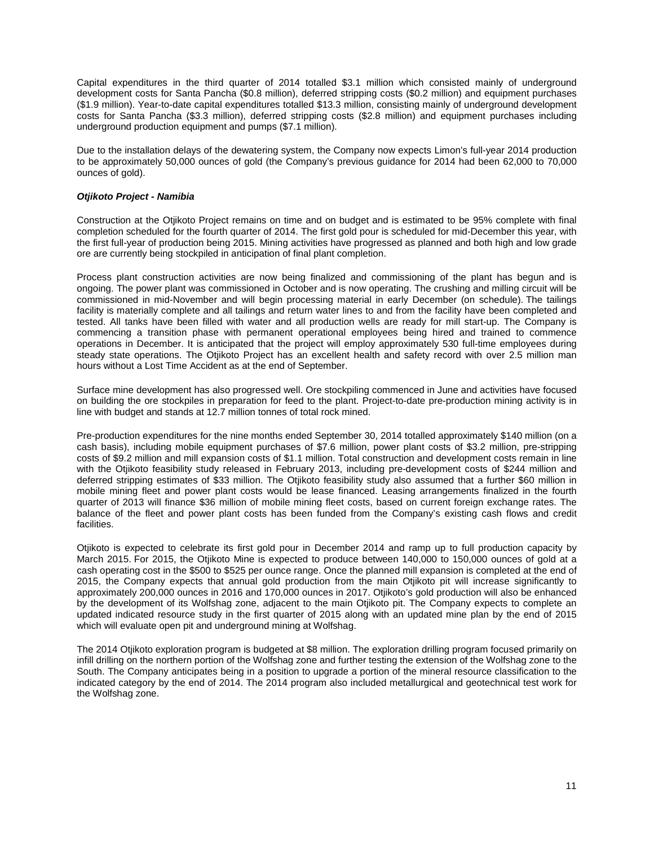Capital expenditures in the third quarter of 2014 totalled \$3.1 million which consisted mainly of underground development costs for Santa Pancha (\$0.8 million), deferred stripping costs (\$0.2 million) and equipment purchases (\$1.9 million). Year-to-date capital expenditures totalled \$13.3 million, consisting mainly of underground development costs for Santa Pancha (\$3.3 million), deferred stripping costs (\$2.8 million) and equipment purchases including underground production equipment and pumps (\$7.1 million).

Due to the installation delays of the dewatering system, the Company now expects Limon's full-year 2014 production to be approximately 50,000 ounces of gold (the Company's previous guidance for 2014 had been 62,000 to 70,000 ounces of gold).

## *Otjikoto Project - Namibia*

Construction at the Otjikoto Project remains on time and on budget and is estimated to be 95% complete with final completion scheduled for the fourth quarter of 2014. The first gold pour is scheduled for mid-December this year, with the first full-year of production being 2015. Mining activities have progressed as planned and both high and low grade ore are currently being stockpiled in anticipation of final plant completion.

Process plant construction activities are now being finalized and commissioning of the plant has begun and is ongoing. The power plant was commissioned in October and is now operating. The crushing and milling circuit will be commissioned in mid-November and will begin processing material in early December (on schedule). The tailings facility is materially complete and all tailings and return water lines to and from the facility have been completed and tested. All tanks have been filled with water and all production wells are ready for mill start-up. The Company is commencing a transition phase with permanent operational employees being hired and trained to commence operations in December. It is anticipated that the project will employ approximately 530 full-time employees during steady state operations. The Otjikoto Project has an excellent health and safety record with over 2.5 million man hours without a Lost Time Accident as at the end of September.

Surface mine development has also progressed well. Ore stockpiling commenced in June and activities have focused on building the ore stockpiles in preparation for feed to the plant. Project-to-date pre-production mining activity is in line with budget and stands at 12.7 million tonnes of total rock mined.

Pre-production expenditures for the nine months ended September 30, 2014 totalled approximately \$140 million (on a cash basis), including mobile equipment purchases of \$7.6 million, power plant costs of \$3.2 million, pre-stripping costs of \$9.2 million and mill expansion costs of \$1.1 million. Total construction and development costs remain in line with the Otjikoto feasibility study released in February 2013, including pre-development costs of \$244 million and deferred stripping estimates of \$33 million. The Otjikoto feasibility study also assumed that a further \$60 million in mobile mining fleet and power plant costs would be lease financed. Leasing arrangements finalized in the fourth quarter of 2013 will finance \$36 million of mobile mining fleet costs, based on current foreign exchange rates. The balance of the fleet and power plant costs has been funded from the Company's existing cash flows and credit facilities.

Otjikoto is expected to celebrate its first gold pour in December 2014 and ramp up to full production capacity by March 2015. For 2015, the Otjikoto Mine is expected to produce between 140,000 to 150,000 ounces of gold at a cash operating cost in the \$500 to \$525 per ounce range. Once the planned mill expansion is completed at the end of 2015, the Company expects that annual gold production from the main Otjikoto pit will increase significantly to approximately 200,000 ounces in 2016 and 170,000 ounces in 2017. Otjikoto's gold production will also be enhanced by the development of its Wolfshag zone, adjacent to the main Otjikoto pit. The Company expects to complete an updated indicated resource study in the first quarter of 2015 along with an updated mine plan by the end of 2015 which will evaluate open pit and underground mining at Wolfshag.

The 2014 Otjikoto exploration program is budgeted at \$8 million. The exploration drilling program focused primarily on infill drilling on the northern portion of the Wolfshag zone and further testing the extension of the Wolfshag zone to the South. The Company anticipates being in a position to upgrade a portion of the mineral resource classification to the indicated category by the end of 2014. The 2014 program also included metallurgical and geotechnical test work for the Wolfshag zone.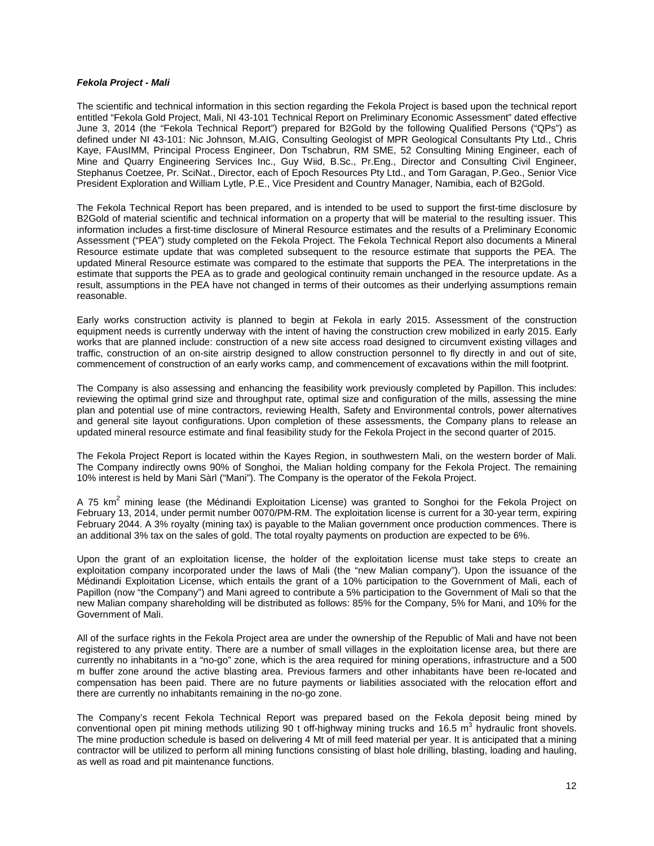### *Fekola Project - Mali*

The scientific and technical information in this section regarding the Fekola Project is based upon the technical report entitled "Fekola Gold Project, Mali, NI 43-101 Technical Report on Preliminary Economic Assessment" dated effective June 3, 2014 (the "Fekola Technical Report") prepared for B2Gold by the following Qualified Persons ("QPs") as defined under NI 43-101: Nic Johnson, M.AIG, Consulting Geologist of MPR Geological Consultants Pty Ltd., Chris Kaye, FAusIMM, Principal Process Engineer, Don Tschabrun, RM SME, 52 Consulting Mining Engineer, each of Mine and Quarry Engineering Services Inc., Guy Wiid, B.Sc., Pr.Eng., Director and Consulting Civil Engineer, Stephanus Coetzee, Pr. SciNat., Director, each of Epoch Resources Pty Ltd., and Tom Garagan, P.Geo., Senior Vice President Exploration and William Lytle, P.E., Vice President and Country Manager, Namibia, each of B2Gold.

The Fekola Technical Report has been prepared, and is intended to be used to support the first-time disclosure by B2Gold of material scientific and technical information on a property that will be material to the resulting issuer. This information includes a first-time disclosure of Mineral Resource estimates and the results of a Preliminary Economic Assessment ("PEA") study completed on the Fekola Project. The Fekola Technical Report also documents a Mineral Resource estimate update that was completed subsequent to the resource estimate that supports the PEA. The updated Mineral Resource estimate was compared to the estimate that supports the PEA. The interpretations in the estimate that supports the PEA as to grade and geological continuity remain unchanged in the resource update. As a result, assumptions in the PEA have not changed in terms of their outcomes as their underlying assumptions remain reasonable.

Early works construction activity is planned to begin at Fekola in early 2015. Assessment of the construction equipment needs is currently underway with the intent of having the construction crew mobilized in early 2015. Early works that are planned include: construction of a new site access road designed to circumvent existing villages and traffic, construction of an on-site airstrip designed to allow construction personnel to fly directly in and out of site, commencement of construction of an early works camp, and commencement of excavations within the mill footprint.

The Company is also assessing and enhancing the feasibility work previously completed by Papillon. This includes: reviewing the optimal grind size and throughput rate, optimal size and configuration of the mills, assessing the mine plan and potential use of mine contractors, reviewing Health, Safety and Environmental controls, power alternatives and general site layout configurations. Upon completion of these assessments, the Company plans to release an updated mineral resource estimate and final feasibility study for the Fekola Project in the second quarter of 2015.

The Fekola Project Report is located within the Kayes Region, in southwestern Mali, on the western border of Mali. The Company indirectly owns 90% of Songhoi, the Malian holding company for the Fekola Project. The remaining 10% interest is held by Mani Sàrl ("Mani"). The Company is the operator of the Fekola Project.

A 75 km<sup>2</sup> mining lease (the Médinandi Exploitation License) was granted to Songhoi for the Fekola Project on February 13, 2014, under permit number 0070/PM-RM. The exploitation license is current for a 30-year term, expiring February 2044. A 3% royalty (mining tax) is payable to the Malian government once production commences. There is an additional 3% tax on the sales of gold. The total royalty payments on production are expected to be 6%.

Upon the grant of an exploitation license, the holder of the exploitation license must take steps to create an exploitation company incorporated under the laws of Mali (the "new Malian company"). Upon the issuance of the Médinandi Exploitation License, which entails the grant of a 10% participation to the Government of Mali, each of Papillon (now "the Company") and Mani agreed to contribute a 5% participation to the Government of Mali so that the new Malian company shareholding will be distributed as follows: 85% for the Company, 5% for Mani, and 10% for the Government of Mali.

All of the surface rights in the Fekola Project area are under the ownership of the Republic of Mali and have not been registered to any private entity. There are a number of small villages in the exploitation license area, but there are currently no inhabitants in a "no-go" zone, which is the area required for mining operations, infrastructure and a 500 m buffer zone around the active blasting area. Previous farmers and other inhabitants have been re-located and compensation has been paid. There are no future payments or liabilities associated with the relocation effort and there are currently no inhabitants remaining in the no-go zone.

The Company's recent Fekola Technical Report was prepared based on the Fekola deposit being mined by conventional open pit mining methods utilizing 90 t off-highway mining trucks and 16.5 m<sup>3</sup> hydraulic front shovels. The mine production schedule is based on delivering 4 Mt of mill feed material per year. It is anticipated that a mining contractor will be utilized to perform all mining functions consisting of blast hole drilling, blasting, loading and hauling, as well as road and pit maintenance functions.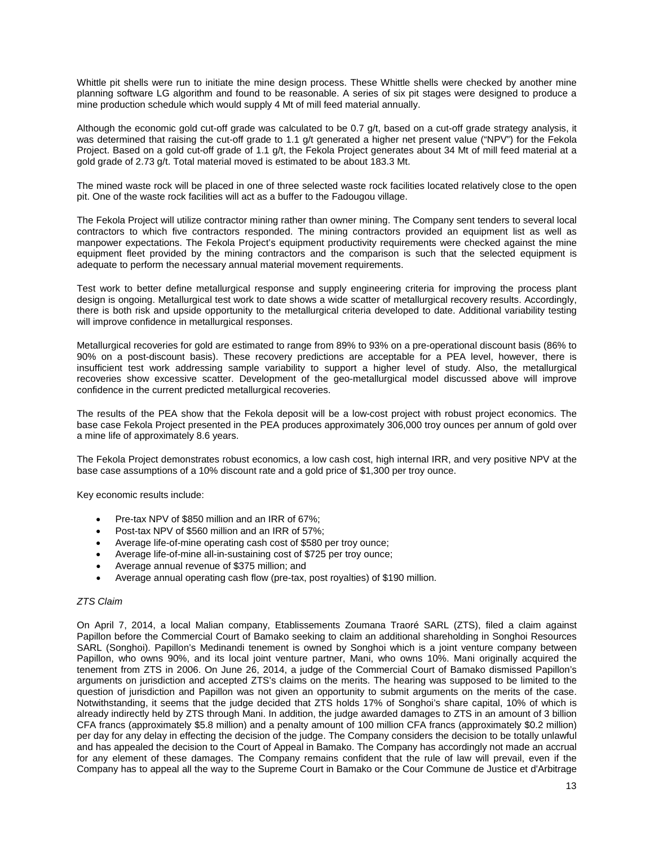Whittle pit shells were run to initiate the mine design process. These Whittle shells were checked by another mine planning software LG algorithm and found to be reasonable. A series of six pit stages were designed to produce a mine production schedule which would supply 4 Mt of mill feed material annually.

Although the economic gold cut-off grade was calculated to be 0.7 g/t, based on a cut-off grade strategy analysis, it was determined that raising the cut-off grade to 1.1 g/t generated a higher net present value ("NPV") for the Fekola Project. Based on a gold cut-off grade of 1.1 g/t, the Fekola Project generates about 34 Mt of mill feed material at a gold grade of 2.73 g/t. Total material moved is estimated to be about 183.3 Mt.

The mined waste rock will be placed in one of three selected waste rock facilities located relatively close to the open pit. One of the waste rock facilities will act as a buffer to the Fadougou village.

The Fekola Project will utilize contractor mining rather than owner mining. The Company sent tenders to several local contractors to which five contractors responded. The mining contractors provided an equipment list as well as manpower expectations. The Fekola Project's equipment productivity requirements were checked against the mine equipment fleet provided by the mining contractors and the comparison is such that the selected equipment is adequate to perform the necessary annual material movement requirements.

Test work to better define metallurgical response and supply engineering criteria for improving the process plant design is ongoing. Metallurgical test work to date shows a wide scatter of metallurgical recovery results. Accordingly, there is both risk and upside opportunity to the metallurgical criteria developed to date. Additional variability testing will improve confidence in metallurgical responses.

Metallurgical recoveries for gold are estimated to range from 89% to 93% on a pre-operational discount basis (86% to 90% on a post-discount basis). These recovery predictions are acceptable for a PEA level, however, there is insufficient test work addressing sample variability to support a higher level of study. Also, the metallurgical recoveries show excessive scatter. Development of the geo-metallurgical model discussed above will improve confidence in the current predicted metallurgical recoveries.

The results of the PEA show that the Fekola deposit will be a low-cost project with robust project economics. The base case Fekola Project presented in the PEA produces approximately 306,000 troy ounces per annum of gold over a mine life of approximately 8.6 years.

The Fekola Project demonstrates robust economics, a low cash cost, high internal IRR, and very positive NPV at the base case assumptions of a 10% discount rate and a gold price of \$1,300 per troy ounce.

Key economic results include:

- Pre-tax NPV of \$850 million and an IRR of 67%:
- Post-tax NPV of \$560 million and an IRR of 57%;
- Average life-of-mine operating cash cost of \$580 per troy ounce;
- Average life-of-mine all-in-sustaining cost of \$725 per troy ounce;
- Average annual revenue of \$375 million; and
- Average annual operating cash flow (pre-tax, post royalties) of \$190 million.

#### *ZTS Claim*

On April 7, 2014, a local Malian company, Etablissements Zoumana Traoré SARL (ZTS), filed a claim against Papillon before the Commercial Court of Bamako seeking to claim an additional shareholding in Songhoi Resources SARL (Songhoi). Papillon's Medinandi tenement is owned by Songhoi which is a joint venture company between Papillon, who owns 90%, and its local joint venture partner, Mani, who owns 10%. Mani originally acquired the tenement from ZTS in 2006. On June 26, 2014, a judge of the Commercial Court of Bamako dismissed Papillon's arguments on jurisdiction and accepted ZTS's claims on the merits. The hearing was supposed to be limited to the question of jurisdiction and Papillon was not given an opportunity to submit arguments on the merits of the case. Notwithstanding, it seems that the judge decided that ZTS holds 17% of Songhoi's share capital, 10% of which is already indirectly held by ZTS through Mani. In addition, the judge awarded damages to ZTS in an amount of 3 billion CFA francs (approximately \$5.8 million) and a penalty amount of 100 million CFA francs (approximately \$0.2 million) per day for any delay in effecting the decision of the judge. The Company considers the decision to be totally unlawful and has appealed the decision to the Court of Appeal in Bamako. The Company has accordingly not made an accrual for any element of these damages. The Company remains confident that the rule of law will prevail, even if the Company has to appeal all the way to the Supreme Court in Bamako or the Cour Commune de Justice et d'Arbitrage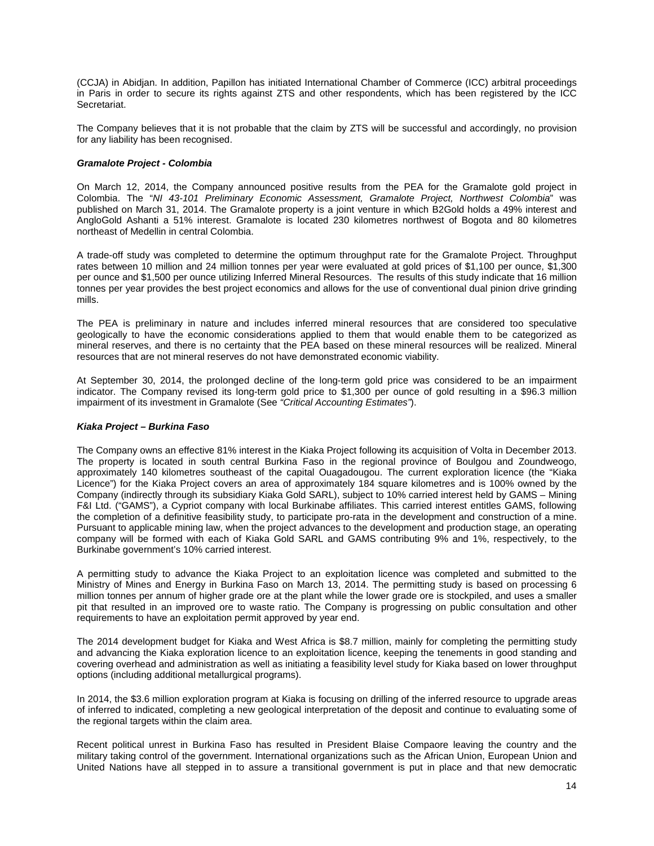(CCJA) in Abidjan. In addition, Papillon has initiated International Chamber of Commerce (ICC) arbitral proceedings in Paris in order to secure its rights against ZTS and other respondents, which has been registered by the ICC Secretariat.

The Company believes that it is not probable that the claim by ZTS will be successful and accordingly, no provision for any liability has been recognised.

## *Gramalote Project - Colombia*

On March 12, 2014, the Company announced positive results from the PEA for the Gramalote gold project in Colombia. The "*NI 43-101 Preliminary Economic Assessment, Gramalote Project, Northwest Colombia*" was published on March 31, 2014. The Gramalote property is a joint venture in which B2Gold holds a 49% interest and AngloGold Ashanti a 51% interest. Gramalote is located 230 kilometres northwest of Bogota and 80 kilometres northeast of Medellin in central Colombia.

A trade-off study was completed to determine the optimum throughput rate for the Gramalote Project. Throughput rates between 10 million and 24 million tonnes per year were evaluated at gold prices of \$1,100 per ounce, \$1,300 per ounce and \$1,500 per ounce utilizing Inferred Mineral Resources. The results of this study indicate that 16 million tonnes per year provides the best project economics and allows for the use of conventional dual pinion drive grinding mills.

The PEA is preliminary in nature and includes inferred mineral resources that are considered too speculative geologically to have the economic considerations applied to them that would enable them to be categorized as mineral reserves, and there is no certainty that the PEA based on these mineral resources will be realized. Mineral resources that are not mineral reserves do not have demonstrated economic viability.

At September 30, 2014, the prolonged decline of the long-term gold price was considered to be an impairment indicator. The Company revised its long-term gold price to \$1,300 per ounce of gold resulting in a \$96.3 million impairment of its investment in Gramalote (See *"Critical Accounting Estimates"*).

### *Kiaka Project – Burkina Faso*

The Company owns an effective 81% interest in the Kiaka Project following its acquisition of Volta in December 2013. The property is located in south central Burkina Faso in the regional province of Boulgou and Zoundweogo, approximately 140 kilometres southeast of the capital Ouagadougou. The current exploration licence (the "Kiaka Licence") for the Kiaka Project covers an area of approximately 184 square kilometres and is 100% owned by the Company (indirectly through its subsidiary Kiaka Gold SARL), subject to 10% carried interest held by GAMS – Mining F&I Ltd. ("GAMS"), a Cypriot company with local Burkinabe affiliates. This carried interest entitles GAMS, following the completion of a definitive feasibility study, to participate pro-rata in the development and construction of a mine. Pursuant to applicable mining law, when the project advances to the development and production stage, an operating company will be formed with each of Kiaka Gold SARL and GAMS contributing 9% and 1%, respectively, to the Burkinabe government's 10% carried interest.

A permitting study to advance the Kiaka Project to an exploitation licence was completed and submitted to the Ministry of Mines and Energy in Burkina Faso on March 13, 2014. The permitting study is based on processing 6 million tonnes per annum of higher grade ore at the plant while the lower grade ore is stockpiled, and uses a smaller pit that resulted in an improved ore to waste ratio. The Company is progressing on public consultation and other requirements to have an exploitation permit approved by year end.

The 2014 development budget for Kiaka and West Africa is \$8.7 million, mainly for completing the permitting study and advancing the Kiaka exploration licence to an exploitation licence, keeping the tenements in good standing and covering overhead and administration as well as initiating a feasibility level study for Kiaka based on lower throughput options (including additional metallurgical programs).

In 2014, the \$3.6 million exploration program at Kiaka is focusing on drilling of the inferred resource to upgrade areas of inferred to indicated, completing a new geological interpretation of the deposit and continue to evaluating some of the regional targets within the claim area.

Recent political unrest in Burkina Faso has resulted in President Blaise Compaore leaving the country and the military taking control of the government. International organizations such as the African Union, European Union and United Nations have all stepped in to assure a transitional government is put in place and that new democratic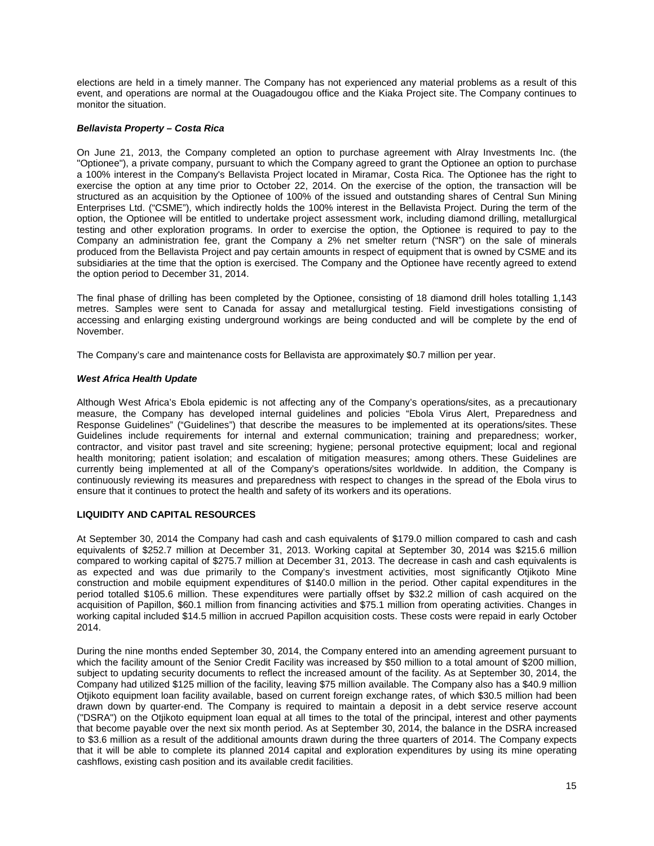elections are held in a timely manner. The Company has not experienced any material problems as a result of this event, and operations are normal at the Ouagadougou office and the Kiaka Project site. The Company continues to monitor the situation.

## *Bellavista Property – Costa Rica*

On June 21, 2013, the Company completed an option to purchase agreement with Alray Investments Inc. (the "Optionee"), a private company, pursuant to which the Company agreed to grant the Optionee an option to purchase a 100% interest in the Company's Bellavista Project located in Miramar, Costa Rica. The Optionee has the right to exercise the option at any time prior to October 22, 2014. On the exercise of the option, the transaction will be structured as an acquisition by the Optionee of 100% of the issued and outstanding shares of Central Sun Mining Enterprises Ltd. ("CSME"), which indirectly holds the 100% interest in the Bellavista Project. During the term of the option, the Optionee will be entitled to undertake project assessment work, including diamond drilling, metallurgical testing and other exploration programs. In order to exercise the option, the Optionee is required to pay to the Company an administration fee, grant the Company a 2% net smelter return ("NSR") on the sale of minerals produced from the Bellavista Project and pay certain amounts in respect of equipment that is owned by CSME and its subsidiaries at the time that the option is exercised. The Company and the Optionee have recently agreed to extend the option period to December 31, 2014.

The final phase of drilling has been completed by the Optionee, consisting of 18 diamond drill holes totalling 1,143 metres. Samples were sent to Canada for assay and metallurgical testing. Field investigations consisting of accessing and enlarging existing underground workings are being conducted and will be complete by the end of November.

The Company's care and maintenance costs for Bellavista are approximately \$0.7 million per year.

## *West Africa Health Update*

Although West Africa's Ebola epidemic is not affecting any of the Company's operations/sites, as a precautionary measure, the Company has developed internal guidelines and policies "Ebola Virus Alert, Preparedness and Response Guidelines" ("Guidelines") that describe the measures to be implemented at its operations/sites. These Guidelines include requirements for internal and external communication; training and preparedness; worker, contractor, and visitor past travel and site screening; hygiene; personal protective equipment; local and regional health monitoring; patient isolation; and escalation of mitigation measures; among others. These Guidelines are currently being implemented at all of the Company's operations/sites worldwide. In addition, the Company is continuously reviewing its measures and preparedness with respect to changes in the spread of the Ebola virus to ensure that it continues to protect the health and safety of its workers and its operations.

## **LIQUIDITY AND CAPITAL RESOURCES**

At September 30, 2014 the Company had cash and cash equivalents of \$179.0 million compared to cash and cash equivalents of \$252.7 million at December 31, 2013. Working capital at September 30, 2014 was \$215.6 million compared to working capital of \$275.7 million at December 31, 2013. The decrease in cash and cash equivalents is as expected and was due primarily to the Company's investment activities, most significantly Otjikoto Mine construction and mobile equipment expenditures of \$140.0 million in the period. Other capital expenditures in the period totalled \$105.6 million. These expenditures were partially offset by \$32.2 million of cash acquired on the acquisition of Papillon, \$60.1 million from financing activities and \$75.1 million from operating activities. Changes in working capital included \$14.5 million in accrued Papillon acquisition costs. These costs were repaid in early October 2014.

During the nine months ended September 30, 2014, the Company entered into an amending agreement pursuant to which the facility amount of the Senior Credit Facility was increased by \$50 million to a total amount of \$200 million, subject to updating security documents to reflect the increased amount of the facility. As at September 30, 2014, the Company had utilized \$125 million of the facility, leaving \$75 million available. The Company also has a \$40.9 million Otjikoto equipment loan facility available, based on current foreign exchange rates, of which \$30.5 million had been drawn down by quarter-end. The Company is required to maintain a deposit in a debt service reserve account ("DSRA") on the Otjikoto equipment loan equal at all times to the total of the principal, interest and other payments that become payable over the next six month period. As at September 30, 2014, the balance in the DSRA increased to \$3.6 million as a result of the additional amounts drawn during the three quarters of 2014. The Company expects that it will be able to complete its planned 2014 capital and exploration expenditures by using its mine operating cashflows, existing cash position and its available credit facilities.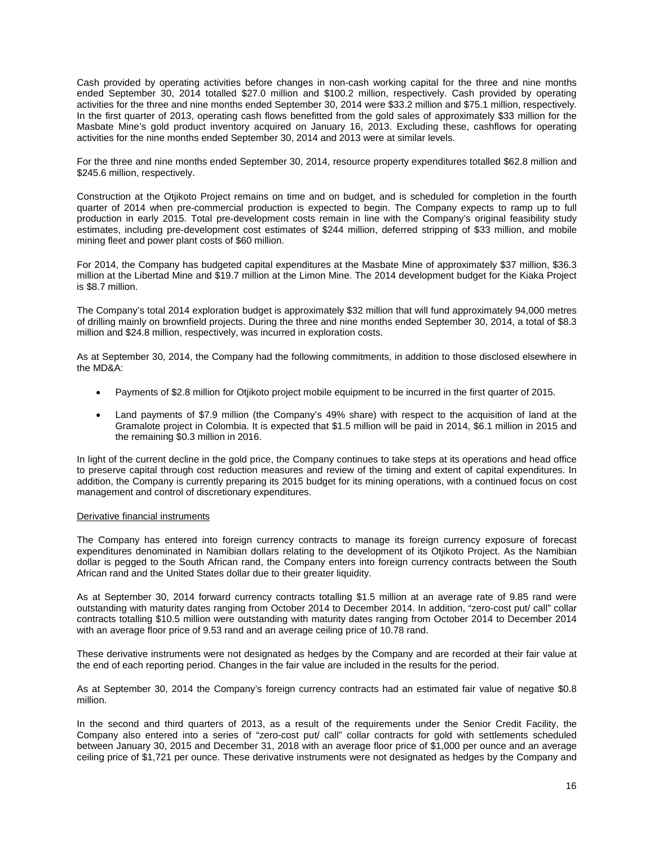Cash provided by operating activities before changes in non-cash working capital for the three and nine months ended September 30, 2014 totalled \$27.0 million and \$100.2 million, respectively. Cash provided by operating activities for the three and nine months ended September 30, 2014 were \$33.2 million and \$75.1 million, respectively. In the first quarter of 2013, operating cash flows benefitted from the gold sales of approximately \$33 million for the Masbate Mine's gold product inventory acquired on January 16, 2013. Excluding these, cashflows for operating activities for the nine months ended September 30, 2014 and 2013 were at similar levels.

For the three and nine months ended September 30, 2014, resource property expenditures totalled \$62.8 million and \$245.6 million, respectively.

Construction at the Otjikoto Project remains on time and on budget, and is scheduled for completion in the fourth quarter of 2014 when pre-commercial production is expected to begin. The Company expects to ramp up to full production in early 2015. Total pre-development costs remain in line with the Company's original feasibility study estimates, including pre-development cost estimates of \$244 million, deferred stripping of \$33 million, and mobile mining fleet and power plant costs of \$60 million.

For 2014, the Company has budgeted capital expenditures at the Masbate Mine of approximately \$37 million, \$36.3 million at the Libertad Mine and \$19.7 million at the Limon Mine. The 2014 development budget for the Kiaka Project is \$8.7 million.

The Company's total 2014 exploration budget is approximately \$32 million that will fund approximately 94,000 metres of drilling mainly on brownfield projects. During the three and nine months ended September 30, 2014, a total of \$8.3 million and \$24.8 million, respectively, was incurred in exploration costs.

As at September 30, 2014, the Company had the following commitments, in addition to those disclosed elsewhere in the MD&A:

- Payments of \$2.8 million for Otjikoto project mobile equipment to be incurred in the first quarter of 2015.
- Land payments of \$7.9 million (the Company's 49% share) with respect to the acquisition of land at the Gramalote project in Colombia. It is expected that \$1.5 million will be paid in 2014, \$6.1 million in 2015 and the remaining \$0.3 million in 2016.

In light of the current decline in the gold price, the Company continues to take steps at its operations and head office to preserve capital through cost reduction measures and review of the timing and extent of capital expenditures. In addition, the Company is currently preparing its 2015 budget for its mining operations, with a continued focus on cost management and control of discretionary expenditures.

## Derivative financial instruments

The Company has entered into foreign currency contracts to manage its foreign currency exposure of forecast expenditures denominated in Namibian dollars relating to the development of its Otjikoto Project. As the Namibian dollar is pegged to the South African rand, the Company enters into foreign currency contracts between the South African rand and the United States dollar due to their greater liquidity.

As at September 30, 2014 forward currency contracts totalling \$1.5 million at an average rate of 9.85 rand were outstanding with maturity dates ranging from October 2014 to December 2014. In addition, "zero-cost put/ call" collar contracts totalling \$10.5 million were outstanding with maturity dates ranging from October 2014 to December 2014 with an average floor price of 9.53 rand and an average ceiling price of 10.78 rand.

These derivative instruments were not designated as hedges by the Company and are recorded at their fair value at the end of each reporting period. Changes in the fair value are included in the results for the period.

As at September 30, 2014 the Company's foreign currency contracts had an estimated fair value of negative \$0.8 million.

In the second and third quarters of 2013, as a result of the requirements under the Senior Credit Facility, the Company also entered into a series of "zero-cost put/ call" collar contracts for gold with settlements scheduled between January 30, 2015 and December 31, 2018 with an average floor price of \$1,000 per ounce and an average ceiling price of \$1,721 per ounce. These derivative instruments were not designated as hedges by the Company and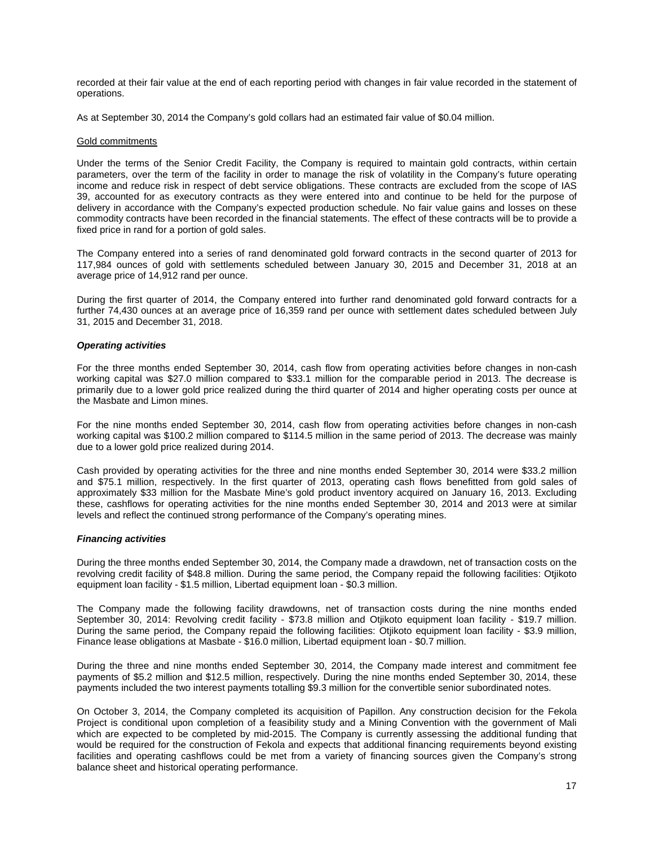recorded at their fair value at the end of each reporting period with changes in fair value recorded in the statement of operations.

As at September 30, 2014 the Company's gold collars had an estimated fair value of \$0.04 million.

#### Gold commitments

Under the terms of the Senior Credit Facility, the Company is required to maintain gold contracts, within certain parameters, over the term of the facility in order to manage the risk of volatility in the Company's future operating income and reduce risk in respect of debt service obligations. These contracts are excluded from the scope of IAS 39, accounted for as executory contracts as they were entered into and continue to be held for the purpose of delivery in accordance with the Company's expected production schedule. No fair value gains and losses on these commodity contracts have been recorded in the financial statements. The effect of these contracts will be to provide a fixed price in rand for a portion of gold sales.

The Company entered into a series of rand denominated gold forward contracts in the second quarter of 2013 for 117,984 ounces of gold with settlements scheduled between January 30, 2015 and December 31, 2018 at an average price of 14,912 rand per ounce.

During the first quarter of 2014, the Company entered into further rand denominated gold forward contracts for a further 74,430 ounces at an average price of 16,359 rand per ounce with settlement dates scheduled between July 31, 2015 and December 31, 2018.

#### *Operating activities*

For the three months ended September 30, 2014, cash flow from operating activities before changes in non-cash working capital was \$27.0 million compared to \$33.1 million for the comparable period in 2013. The decrease is primarily due to a lower gold price realized during the third quarter of 2014 and higher operating costs per ounce at the Masbate and Limon mines.

For the nine months ended September 30, 2014, cash flow from operating activities before changes in non-cash working capital was \$100.2 million compared to \$114.5 million in the same period of 2013. The decrease was mainly due to a lower gold price realized during 2014.

Cash provided by operating activities for the three and nine months ended September 30, 2014 were \$33.2 million and \$75.1 million, respectively. In the first quarter of 2013, operating cash flows benefitted from gold sales of approximately \$33 million for the Masbate Mine's gold product inventory acquired on January 16, 2013. Excluding these, cashflows for operating activities for the nine months ended September 30, 2014 and 2013 were at similar levels and reflect the continued strong performance of the Company's operating mines.

#### *Financing activities*

During the three months ended September 30, 2014, the Company made a drawdown, net of transaction costs on the revolving credit facility of \$48.8 million. During the same period, the Company repaid the following facilities: Otjikoto equipment loan facility - \$1.5 million, Libertad equipment loan - \$0.3 million.

The Company made the following facility drawdowns, net of transaction costs during the nine months ended September 30, 2014: Revolving credit facility - \$73.8 million and Otjikoto equipment loan facility - \$19.7 million. During the same period, the Company repaid the following facilities: Otjikoto equipment loan facility - \$3.9 million, Finance lease obligations at Masbate - \$16.0 million, Libertad equipment loan - \$0.7 million.

During the three and nine months ended September 30, 2014, the Company made interest and commitment fee payments of \$5.2 million and \$12.5 million, respectively. During the nine months ended September 30, 2014, these payments included the two interest payments totalling \$9.3 million for the convertible senior subordinated notes.

On October 3, 2014, the Company completed its acquisition of Papillon. Any construction decision for the Fekola Project is conditional upon completion of a feasibility study and a Mining Convention with the government of Mali which are expected to be completed by mid-2015. The Company is currently assessing the additional funding that would be required for the construction of Fekola and expects that additional financing requirements beyond existing facilities and operating cashflows could be met from a variety of financing sources given the Company's strong balance sheet and historical operating performance.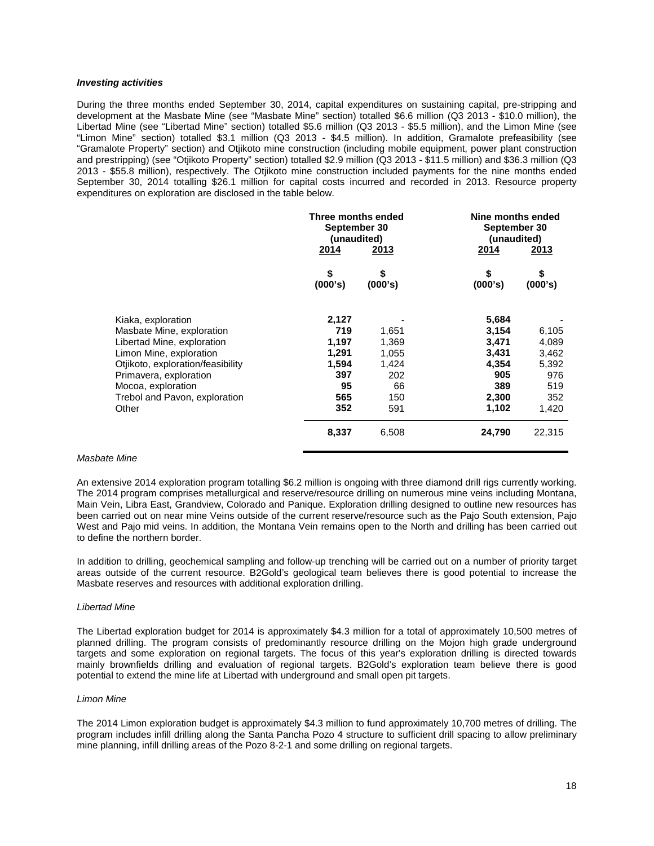### *Investing activities*

During the three months ended September 30, 2014, capital expenditures on sustaining capital, pre-stripping and development at the Masbate Mine (see "Masbate Mine" section) totalled \$6.6 million (Q3 2013 - \$10.0 million), the Libertad Mine (see "Libertad Mine" section) totalled \$5.6 million (Q3 2013 - \$5.5 million), and the Limon Mine (see "Limon Mine" section) totalled \$3.1 million (Q3 2013 - \$4.5 million). In addition, Gramalote prefeasibility (see "Gramalote Property" section) and Otjikoto mine construction (including mobile equipment, power plant construction and prestripping) (see "Otjikoto Property" section) totalled \$2.9 million (Q3 2013 - \$11.5 million) and \$36.3 million (Q3 2013 - \$55.8 million), respectively. The Otjikoto mine construction included payments for the nine months ended September 30, 2014 totalling \$26.1 million for capital costs incurred and recorded in 2013. Resource property expenditures on exploration are disclosed in the table below.

|                                   | Three months ended<br>September 30<br>(unaudited) |               | Nine months ended<br>September 30<br>(unaudited) |             |  |
|-----------------------------------|---------------------------------------------------|---------------|--------------------------------------------------|-------------|--|
|                                   | 2014                                              | 2013          | 2014                                             | <u>2013</u> |  |
|                                   | \$<br>(000's)                                     | \$<br>(000's) | \$<br>(000's)                                    | (000's)     |  |
| Kiaka, exploration                | 2,127                                             |               | 5,684                                            |             |  |
| Masbate Mine, exploration         | 719                                               | 1,651         | 3,154                                            | 6,105       |  |
| Libertad Mine, exploration        | 1,197                                             | 1,369         | 3,471                                            | 4,089       |  |
| Limon Mine, exploration           | 1,291                                             | 1,055         | 3,431                                            | 3,462       |  |
| Otjikoto, exploration/feasibility | 1,594                                             | 1,424         | 4,354                                            | 5,392       |  |
| Primavera, exploration            | 397                                               | 202           | 905                                              | 976         |  |
| Mocoa, exploration                | 95                                                | 66            | 389                                              | 519         |  |
| Trebol and Pavon, exploration     | 565                                               | 150           | 2,300                                            | 352         |  |
| Other                             | 352                                               | 591           | 1,102                                            | 1,420       |  |
|                                   | 8,337                                             | 6,508         | 24,790                                           | 22,315      |  |

### *Masbate Mine*

An extensive 2014 exploration program totalling \$6.2 million is ongoing with three diamond drill rigs currently working. The 2014 program comprises metallurgical and reserve/resource drilling on numerous mine veins including Montana, Main Vein, Libra East, Grandview, Colorado and Panique. Exploration drilling designed to outline new resources has been carried out on near mine Veins outside of the current reserve/resource such as the Pajo South extension, Pajo West and Pajo mid veins. In addition, the Montana Vein remains open to the North and drilling has been carried out to define the northern border.

In addition to drilling, geochemical sampling and follow-up trenching will be carried out on a number of priority target areas outside of the current resource. B2Gold's geological team believes there is good potential to increase the Masbate reserves and resources with additional exploration drilling.

#### *Libertad Mine*

The Libertad exploration budget for 2014 is approximately \$4.3 million for a total of approximately 10,500 metres of planned drilling. The program consists of predominantly resource drilling on the Mojon high grade underground targets and some exploration on regional targets. The focus of this year's exploration drilling is directed towards mainly brownfields drilling and evaluation of regional targets. B2Gold's exploration team believe there is good potential to extend the mine life at Libertad with underground and small open pit targets.

#### *Limon Mine*

The 2014 Limon exploration budget is approximately \$4.3 million to fund approximately 10,700 metres of drilling. The program includes infill drilling along the Santa Pancha Pozo 4 structure to sufficient drill spacing to allow preliminary mine planning, infill drilling areas of the Pozo 8-2-1 and some drilling on regional targets.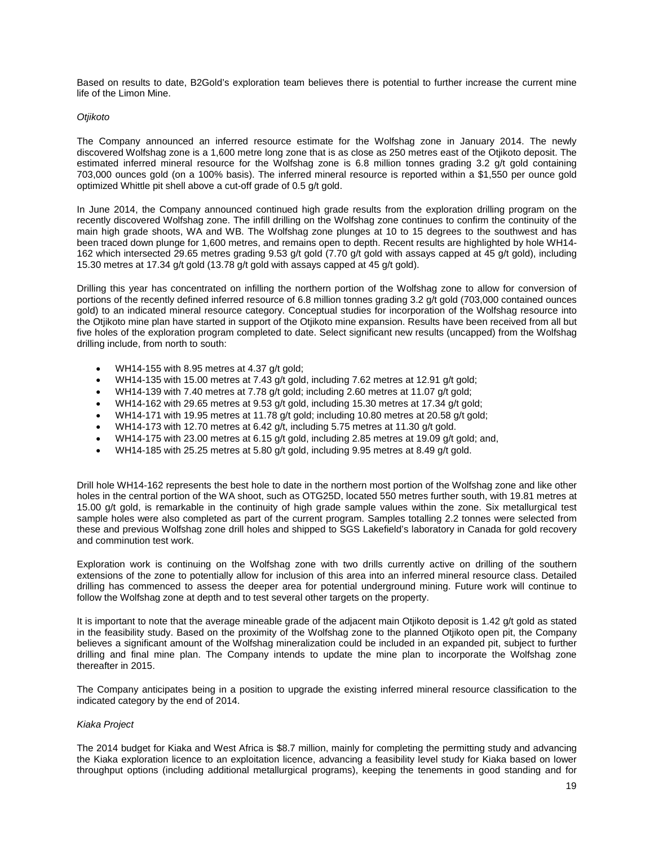Based on results to date, B2Gold's exploration team believes there is potential to further increase the current mine life of the Limon Mine.

#### *Otjikoto*

The Company announced an inferred resource estimate for the Wolfshag zone in January 2014. The newly discovered Wolfshag zone is a 1,600 metre long zone that is as close as 250 metres east of the Otjikoto deposit. The estimated inferred mineral resource for the Wolfshag zone is 6.8 million tonnes grading 3.2 g/t gold containing 703,000 ounces gold (on a 100% basis). The inferred mineral resource is reported within a \$1,550 per ounce gold optimized Whittle pit shell above a cut-off grade of 0.5 g/t gold.

In June 2014, the Company announced continued high grade results from the exploration drilling program on the recently discovered Wolfshag zone. The infill drilling on the Wolfshag zone continues to confirm the continuity of the main high grade shoots, WA and WB. The Wolfshag zone plunges at 10 to 15 degrees to the southwest and has been traced down plunge for 1,600 metres, and remains open to depth. Recent results are highlighted by hole WH14- 162 which intersected 29.65 metres grading 9.53 g/t gold (7.70 g/t gold with assays capped at 45 g/t gold), including 15.30 metres at 17.34 g/t gold (13.78 g/t gold with assays capped at 45 g/t gold).

Drilling this year has concentrated on infilling the northern portion of the Wolfshag zone to allow for conversion of portions of the recently defined inferred resource of 6.8 million tonnes grading 3.2 g/t gold (703,000 contained ounces gold) to an indicated mineral resource category. Conceptual studies for incorporation of the Wolfshag resource into the Otjikoto mine plan have started in support of the Otjikoto mine expansion. Results have been received from all but five holes of the exploration program completed to date. Select significant new results (uncapped) from the Wolfshag drilling include, from north to south:

- WH14-155 with 8.95 metres at 4.37 g/t gold;
- WH14-135 with 15.00 metres at 7.43 g/t gold, including 7.62 metres at 12.91 g/t gold;
- WH14-139 with 7.40 metres at 7.78 g/t gold; including 2.60 metres at 11.07 g/t gold;
- WH14-162 with 29.65 metres at 9.53  $q/t$  gold, including 15.30 metres at 17.34  $q/t$  gold;
- WH14-171 with 19.95 metres at 11.78 g/t gold; including 10.80 metres at 20.58 g/t gold;
- WH14-173 with 12.70 metres at 6.42  $q/t$ , including 5.75 metres at 11.30  $q/t$  gold.
- WH14-175 with 23.00 metres at 6.15 g/t gold, including 2.85 metres at 19.09 g/t gold; and,
- WH14-185 with 25.25 metres at 5.80 g/t gold, including 9.95 metres at 8.49 g/t gold.

Drill hole WH14-162 represents the best hole to date in the northern most portion of the Wolfshag zone and like other holes in the central portion of the WA shoot, such as OTG25D, located 550 metres further south, with 19.81 metres at 15.00 g/t gold, is remarkable in the continuity of high grade sample values within the zone. Six metallurgical test sample holes were also completed as part of the current program. Samples totalling 2.2 tonnes were selected from these and previous Wolfshag zone drill holes and shipped to SGS Lakefield's laboratory in Canada for gold recovery and comminution test work.

Exploration work is continuing on the Wolfshag zone with two drills currently active on drilling of the southern extensions of the zone to potentially allow for inclusion of this area into an inferred mineral resource class. Detailed drilling has commenced to assess the deeper area for potential underground mining. Future work will continue to follow the Wolfshag zone at depth and to test several other targets on the property.

It is important to note that the average mineable grade of the adjacent main Otjikoto deposit is 1.42 g/t gold as stated in the feasibility study. Based on the proximity of the Wolfshag zone to the planned Otjikoto open pit, the Company believes a significant amount of the Wolfshag mineralization could be included in an expanded pit, subject to further drilling and final mine plan. The Company intends to update the mine plan to incorporate the Wolfshag zone thereafter in 2015.

The Company anticipates being in a position to upgrade the existing inferred mineral resource classification to the indicated category by the end of 2014.

## *Kiaka Project*

The 2014 budget for Kiaka and West Africa is \$8.7 million, mainly for completing the permitting study and advancing the Kiaka exploration licence to an exploitation licence, advancing a feasibility level study for Kiaka based on lower throughput options (including additional metallurgical programs), keeping the tenements in good standing and for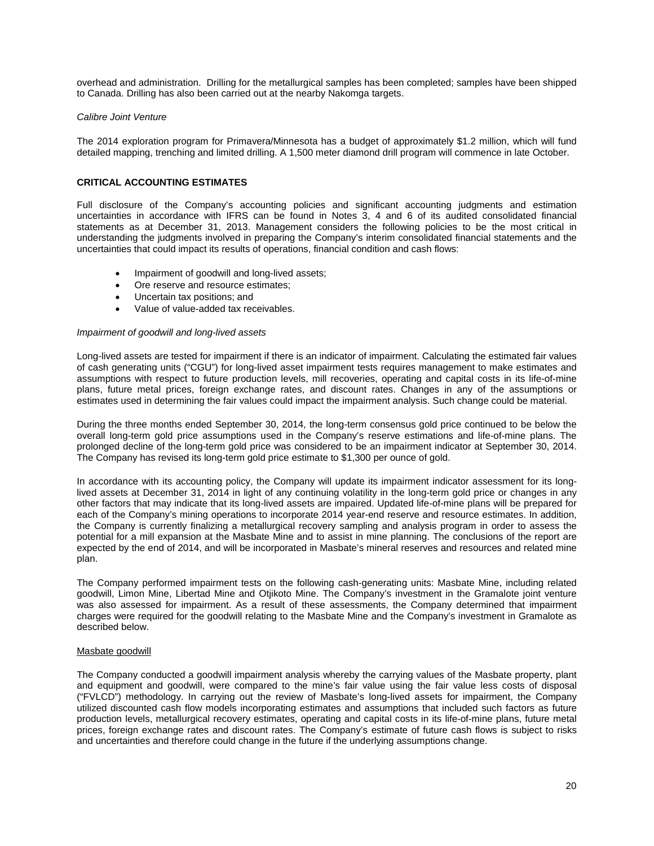overhead and administration. Drilling for the metallurgical samples has been completed; samples have been shipped to Canada. Drilling has also been carried out at the nearby Nakomga targets.

### *Calibre Joint Venture*

The 2014 exploration program for Primavera/Minnesota has a budget of approximately \$1.2 million, which will fund detailed mapping, trenching and limited drilling. A 1,500 meter diamond drill program will commence in late October.

## **CRITICAL ACCOUNTING ESTIMATES**

Full disclosure of the Company's accounting policies and significant accounting judgments and estimation uncertainties in accordance with IFRS can be found in Notes 3, 4 and 6 of its audited consolidated financial statements as at December 31, 2013. Management considers the following policies to be the most critical in understanding the judgments involved in preparing the Company's interim consolidated financial statements and the uncertainties that could impact its results of operations, financial condition and cash flows:

- Impairment of goodwill and long-lived assets;
- Ore reserve and resource estimates:
- Uncertain tax positions; and
- Value of value-added tax receivables.

#### *Impairment of goodwill and long-lived assets*

Long-lived assets are tested for impairment if there is an indicator of impairment. Calculating the estimated fair values of cash generating units ("CGU") for long-lived asset impairment tests requires management to make estimates and assumptions with respect to future production levels, mill recoveries, operating and capital costs in its life-of-mine plans, future metal prices, foreign exchange rates, and discount rates. Changes in any of the assumptions or estimates used in determining the fair values could impact the impairment analysis. Such change could be material.

During the three months ended September 30, 2014, the long-term consensus gold price continued to be below the overall long-term gold price assumptions used in the Company's reserve estimations and life-of-mine plans. The prolonged decline of the long-term gold price was considered to be an impairment indicator at September 30, 2014. The Company has revised its long-term gold price estimate to \$1,300 per ounce of gold.

In accordance with its accounting policy, the Company will update its impairment indicator assessment for its longlived assets at December 31, 2014 in light of any continuing volatility in the long-term gold price or changes in any other factors that may indicate that its long-lived assets are impaired. Updated life-of-mine plans will be prepared for each of the Company's mining operations to incorporate 2014 year-end reserve and resource estimates. In addition, the Company is currently finalizing a metallurgical recovery sampling and analysis program in order to assess the potential for a mill expansion at the Masbate Mine and to assist in mine planning. The conclusions of the report are expected by the end of 2014, and will be incorporated in Masbate's mineral reserves and resources and related mine plan.

The Company performed impairment tests on the following cash-generating units: Masbate Mine, including related goodwill, Limon Mine, Libertad Mine and Otjikoto Mine. The Company's investment in the Gramalote joint venture was also assessed for impairment. As a result of these assessments, the Company determined that impairment charges were required for the goodwill relating to the Masbate Mine and the Company's investment in Gramalote as described below.

#### Masbate goodwill

The Company conducted a goodwill impairment analysis whereby the carrying values of the Masbate property, plant and equipment and goodwill, were compared to the mine's fair value using the fair value less costs of disposal ("FVLCD") methodology. In carrying out the review of Masbate's long-lived assets for impairment, the Company utilized discounted cash flow models incorporating estimates and assumptions that included such factors as future production levels, metallurgical recovery estimates, operating and capital costs in its life-of-mine plans, future metal prices, foreign exchange rates and discount rates. The Company's estimate of future cash flows is subject to risks and uncertainties and therefore could change in the future if the underlying assumptions change.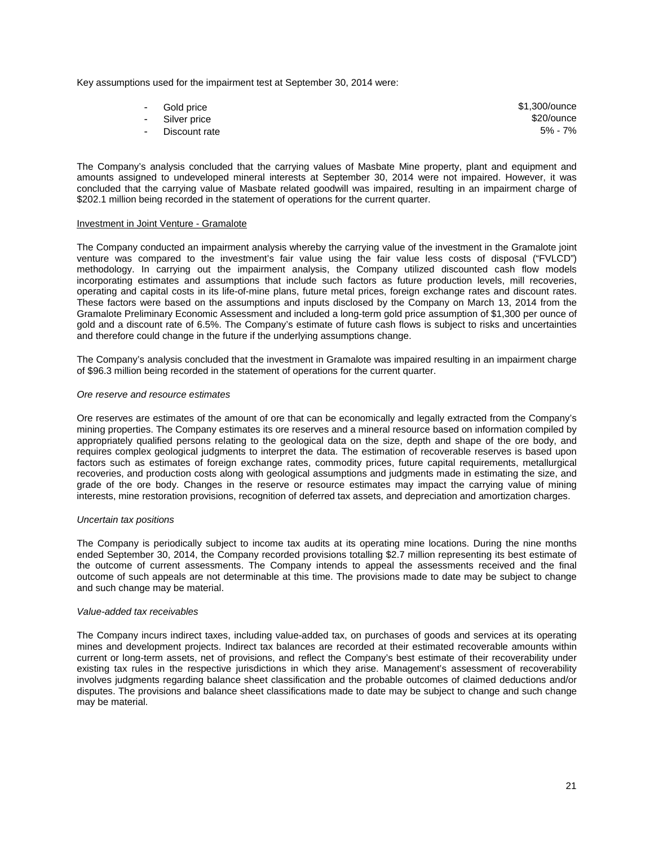Key assumptions used for the impairment test at September 30, 2014 were:

| - Gold price    | \$1,300/ounce |
|-----------------|---------------|
| - Silver price  | \$20/ounce    |
| - Discount rate | 5% - 7%       |

The Company's analysis concluded that the carrying values of Masbate Mine property, plant and equipment and amounts assigned to undeveloped mineral interests at September 30, 2014 were not impaired. However, it was concluded that the carrying value of Masbate related goodwill was impaired, resulting in an impairment charge of \$202.1 million being recorded in the statement of operations for the current quarter.

## Investment in Joint Venture - Gramalote

The Company conducted an impairment analysis whereby the carrying value of the investment in the Gramalote joint venture was compared to the investment's fair value using the fair value less costs of disposal ("FVLCD") methodology. In carrying out the impairment analysis, the Company utilized discounted cash flow models incorporating estimates and assumptions that include such factors as future production levels, mill recoveries, operating and capital costs in its life-of-mine plans, future metal prices, foreign exchange rates and discount rates. These factors were based on the assumptions and inputs disclosed by the Company on March 13, 2014 from the Gramalote Preliminary Economic Assessment and included a long-term gold price assumption of \$1,300 per ounce of gold and a discount rate of 6.5%. The Company's estimate of future cash flows is subject to risks and uncertainties and therefore could change in the future if the underlying assumptions change.

The Company's analysis concluded that the investment in Gramalote was impaired resulting in an impairment charge of \$96.3 million being recorded in the statement of operations for the current quarter.

#### *Ore reserve and resource estimates*

Ore reserves are estimates of the amount of ore that can be economically and legally extracted from the Company's mining properties. The Company estimates its ore reserves and a mineral resource based on information compiled by appropriately qualified persons relating to the geological data on the size, depth and shape of the ore body, and requires complex geological judgments to interpret the data. The estimation of recoverable reserves is based upon factors such as estimates of foreign exchange rates, commodity prices, future capital requirements, metallurgical recoveries, and production costs along with geological assumptions and judgments made in estimating the size, and grade of the ore body. Changes in the reserve or resource estimates may impact the carrying value of mining interests, mine restoration provisions, recognition of deferred tax assets, and depreciation and amortization charges.

#### *Uncertain tax positions*

The Company is periodically subject to income tax audits at its operating mine locations. During the nine months ended September 30, 2014, the Company recorded provisions totalling \$2.7 million representing its best estimate of the outcome of current assessments. The Company intends to appeal the assessments received and the final outcome of such appeals are not determinable at this time. The provisions made to date may be subject to change and such change may be material.

#### *Value-added tax receivables*

The Company incurs indirect taxes, including value-added tax, on purchases of goods and services at its operating mines and development projects. Indirect tax balances are recorded at their estimated recoverable amounts within current or long-term assets, net of provisions, and reflect the Company's best estimate of their recoverability under existing tax rules in the respective jurisdictions in which they arise. Management's assessment of recoverability involves judgments regarding balance sheet classification and the probable outcomes of claimed deductions and/or disputes. The provisions and balance sheet classifications made to date may be subject to change and such change may be material.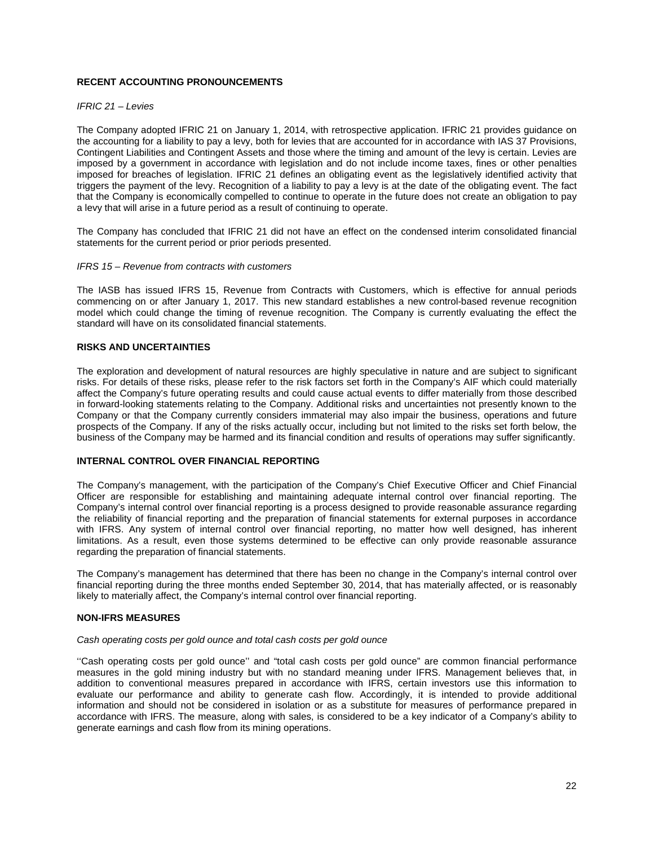## **RECENT ACCOUNTING PRONOUNCEMENTS**

### *IFRIC 21 – Levies*

The Company adopted IFRIC 21 on January 1, 2014, with retrospective application. IFRIC 21 provides guidance on the accounting for a liability to pay a levy, both for levies that are accounted for in accordance with IAS 37 Provisions, Contingent Liabilities and Contingent Assets and those where the timing and amount of the levy is certain. Levies are imposed by a government in accordance with legislation and do not include income taxes, fines or other penalties imposed for breaches of legislation. IFRIC 21 defines an obligating event as the legislatively identified activity that triggers the payment of the levy. Recognition of a liability to pay a levy is at the date of the obligating event. The fact that the Company is economically compelled to continue to operate in the future does not create an obligation to pay a levy that will arise in a future period as a result of continuing to operate.

The Company has concluded that IFRIC 21 did not have an effect on the condensed interim consolidated financial statements for the current period or prior periods presented.

### *IFRS 15 – Revenue from contracts with customers*

The IASB has issued IFRS 15, Revenue from Contracts with Customers, which is effective for annual periods commencing on or after January 1, 2017. This new standard establishes a new control-based revenue recognition model which could change the timing of revenue recognition. The Company is currently evaluating the effect the standard will have on its consolidated financial statements.

## **RISKS AND UNCERTAINTIES**

The exploration and development of natural resources are highly speculative in nature and are subject to significant risks. For details of these risks, please refer to the risk factors set forth in the Company's AIF which could materially affect the Company's future operating results and could cause actual events to differ materially from those described in forward-looking statements relating to the Company. Additional risks and uncertainties not presently known to the Company or that the Company currently considers immaterial may also impair the business, operations and future prospects of the Company. If any of the risks actually occur, including but not limited to the risks set forth below, the business of the Company may be harmed and its financial condition and results of operations may suffer significantly.

# **INTERNAL CONTROL OVER FINANCIAL REPORTING**

The Company's management, with the participation of the Company's Chief Executive Officer and Chief Financial Officer are responsible for establishing and maintaining adequate internal control over financial reporting. The Company's internal control over financial reporting is a process designed to provide reasonable assurance regarding the reliability of financial reporting and the preparation of financial statements for external purposes in accordance with IFRS. Any system of internal control over financial reporting, no matter how well designed, has inherent limitations. As a result, even those systems determined to be effective can only provide reasonable assurance regarding the preparation of financial statements.

The Company's management has determined that there has been no change in the Company's internal control over financial reporting during the three months ended September 30, 2014, that has materially affected, or is reasonably likely to materially affect, the Company's internal control over financial reporting.

## **NON-IFRS MEASURES**

#### *Cash operating costs per gold ounce and total cash costs per gold ounce*

''Cash operating costs per gold ounce'' and "total cash costs per gold ounce" are common financial performance measures in the gold mining industry but with no standard meaning under IFRS. Management believes that, in addition to conventional measures prepared in accordance with IFRS, certain investors use this information to evaluate our performance and ability to generate cash flow. Accordingly, it is intended to provide additional information and should not be considered in isolation or as a substitute for measures of performance prepared in accordance with IFRS. The measure, along with sales, is considered to be a key indicator of a Company's ability to generate earnings and cash flow from its mining operations.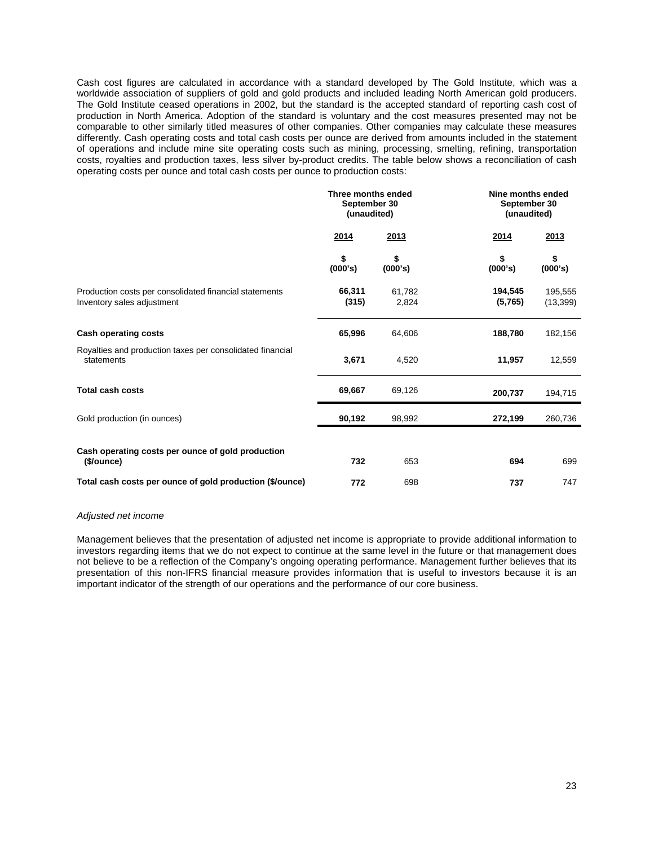Cash cost figures are calculated in accordance with a standard developed by The Gold Institute, which was a worldwide association of suppliers of gold and gold products and included leading North American gold producers. The Gold Institute ceased operations in 2002, but the standard is the accepted standard of reporting cash cost of production in North America. Adoption of the standard is voluntary and the cost measures presented may not be comparable to other similarly titled measures of other companies. Other companies may calculate these measures differently. Cash operating costs and total cash costs per ounce are derived from amounts included in the statement of operations and include mine site operating costs such as mining, processing, smelting, refining, transportation costs, royalties and production taxes, less silver by-product credits. The table below shows a reconciliation of cash operating costs per ounce and total cash costs per ounce to production costs:

|                                                                                      | Three months ended<br>September 30<br>(unaudited) |                 | Nine months ended<br>September 30<br>(unaudited) |                      |  |
|--------------------------------------------------------------------------------------|---------------------------------------------------|-----------------|--------------------------------------------------|----------------------|--|
|                                                                                      | 2014                                              | 2013            | 2014                                             | 2013                 |  |
|                                                                                      | \$<br>(000's)                                     | \$<br>(000's)   | \$<br>(000's)                                    | \$<br>(000's)        |  |
| Production costs per consolidated financial statements<br>Inventory sales adjustment | 66,311<br>(315)                                   | 61,782<br>2,824 | 194,545<br>(5,765)                               | 195,555<br>(13, 399) |  |
| <b>Cash operating costs</b>                                                          | 65,996                                            | 64,606          | 188,780                                          | 182,156              |  |
| Royalties and production taxes per consolidated financial<br>statements              | 3,671                                             | 4,520           | 11,957                                           | 12,559               |  |
| <b>Total cash costs</b>                                                              | 69,667                                            | 69,126          | 200,737                                          | 194,715              |  |
| Gold production (in ounces)                                                          | 90,192                                            | 98,992          | 272,199                                          | 260,736              |  |
| Cash operating costs per ounce of gold production                                    |                                                   |                 |                                                  |                      |  |
| (\$/ounce)                                                                           | 732                                               | 653             | 694                                              | 699                  |  |
| Total cash costs per ounce of gold production (\$/ounce)                             | 772                                               | 698             | 737                                              | 747                  |  |

#### *Adjusted net income*

Management believes that the presentation of adjusted net income is appropriate to provide additional information to investors regarding items that we do not expect to continue at the same level in the future or that management does not believe to be a reflection of the Company's ongoing operating performance. Management further believes that its presentation of this non-IFRS financial measure provides information that is useful to investors because it is an important indicator of the strength of our operations and the performance of our core business.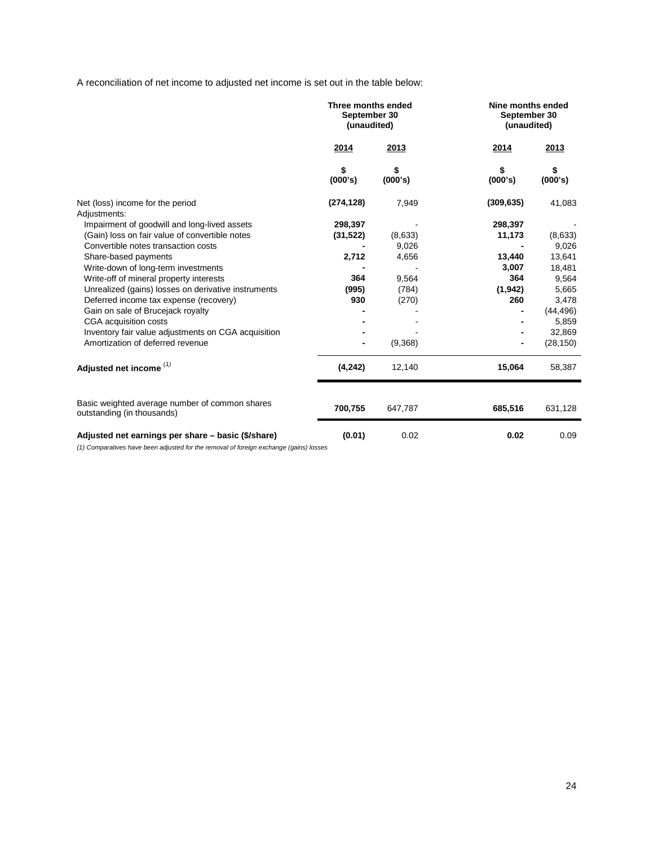A reconciliation of net income to adjusted net income is set out in the table below:

|                                                                              | Three months ended<br>September 30<br>(unaudited) |               | Nine months ended<br>September 30<br>(unaudited) |               |
|------------------------------------------------------------------------------|---------------------------------------------------|---------------|--------------------------------------------------|---------------|
|                                                                              | 2014                                              | 2013          | 2014                                             | 2013          |
|                                                                              | \$<br>(000's)                                     | \$<br>(000's) | S<br>(000's)                                     | \$<br>(000's) |
| Net (loss) income for the period<br>Adjustments:                             | (274, 128)                                        | 7,949         | (309, 635)                                       | 41,083        |
| Impairment of goodwill and long-lived assets                                 | 298,397                                           |               | 298,397                                          |               |
| (Gain) loss on fair value of convertible notes                               | (31, 522)                                         | (8,633)       | 11,173                                           | (8,633)       |
| Convertible notes transaction costs                                          |                                                   | 9,026         |                                                  | 9,026         |
| Share-based payments                                                         | 2,712                                             | 4,656         | 13,440                                           | 13,641        |
| Write-down of long-term investments                                          |                                                   |               | 3,007                                            | 18,481        |
| Write-off of mineral property interests                                      | 364                                               | 9,564         | 364                                              | 9,564         |
| Unrealized (gains) losses on derivative instruments                          | (995)                                             | (784)         | (1, 942)                                         | 5,665         |
| Deferred income tax expense (recovery)                                       | 930                                               | (270)         | 260                                              | 3,478         |
| Gain on sale of Brucejack royalty                                            |                                                   |               |                                                  | (44, 496)     |
| CGA acquisition costs                                                        |                                                   |               |                                                  | 5,859         |
| Inventory fair value adjustments on CGA acquisition                          |                                                   |               |                                                  | 32,869        |
| Amortization of deferred revenue                                             |                                                   | (9,368)       |                                                  | (28, 150)     |
| Adjusted net income <sup>(1)</sup>                                           | (4, 242)                                          | 12,140        | 15,064                                           | 58,387        |
| Basic weighted average number of common shares<br>outstanding (in thousands) | 700,755                                           | 647,787       | 685,516                                          | 631,128       |
| Adjusted net earnings per share - basic (\$/share)                           | (0.01)                                            | 0.02          | 0.02                                             | 0.09          |

*(1) Comparatives have been adjusted for the removal of foreign exchange (gains) losses*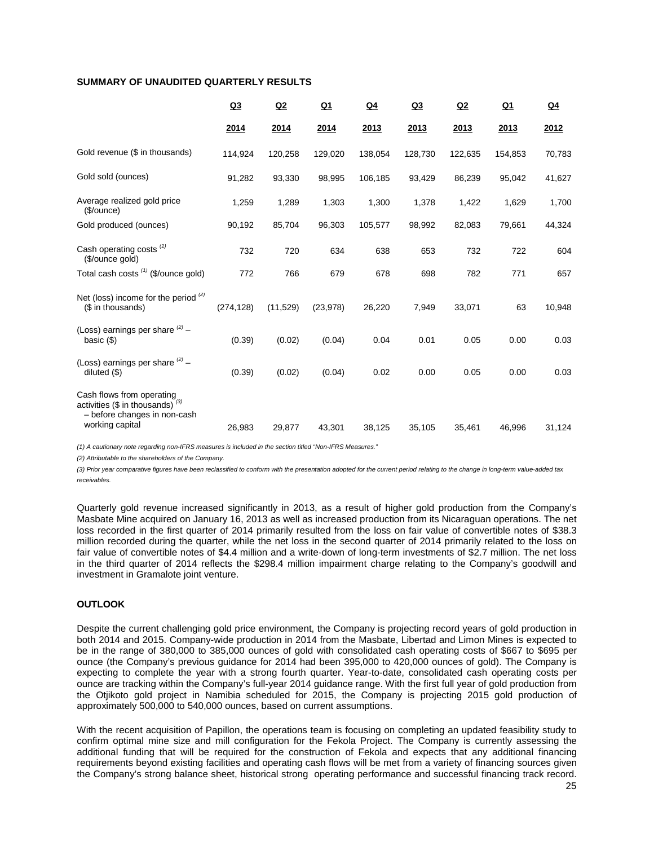## **SUMMARY OF UNAUDITED QUARTERLY RESULTS**

| Q3         | Q2       | <u>Q1</u> | $Q_4$   | Q <sub>3</sub> | Q2      | <u>Q1</u> | Q <sub>4</sub> |
|------------|----------|-----------|---------|----------------|---------|-----------|----------------|
| 2014       | 2014     | 2014      | 2013    | 2013           | 2013    | 2013      | 2012           |
| 114,924    | 120,258  | 129,020   | 138,054 | 128,730        | 122,635 | 154,853   | 70,783         |
| 91,282     | 93,330   | 98,995    | 106,185 | 93,429         | 86,239  | 95,042    | 41,627         |
| 1,259      | 1,289    | 1,303     | 1,300   | 1,378          | 1,422   | 1,629     | 1,700          |
| 90,192     | 85,704   | 96,303    | 105,577 | 98,992         | 82,083  | 79,661    | 44,324         |
| 732        | 720      | 634       | 638     | 653            | 732     | 722       | 604            |
| 772        | 766      | 679       | 678     | 698            | 782     | 771       | 657            |
| (274, 128) | (11,529) | (23, 978) | 26,220  | 7,949          | 33,071  | 63        | 10,948         |
| (0.39)     | (0.02)   | (0.04)    | 0.04    | 0.01           | 0.05    | 0.00      | 0.03           |
| (0.39)     | (0.02)   | (0.04)    | 0.02    | 0.00           | 0.05    | 0.00      | 0.03           |
| 26,983     | 29,877   | 43,301    | 38,125  | 35,105         | 35,461  | 46.996    | 31,124         |
|            |          |           |         |                |         |           |                |

*(1) A cautionary note regarding non-IFRS measures is included in the section titled "Non-IFRS Measures."* 

*(2) Attributable to the shareholders of the Company.*

*(3) Prior year comparative figures have been reclassified to conform with the presentation adopted for the current period relating to the change in long-term value-added tax receivables.* 

Quarterly gold revenue increased significantly in 2013, as a result of higher gold production from the Company's Masbate Mine acquired on January 16, 2013 as well as increased production from its Nicaraguan operations. The net loss recorded in the first quarter of 2014 primarily resulted from the loss on fair value of convertible notes of \$38.3 million recorded during the quarter, while the net loss in the second quarter of 2014 primarily related to the loss on fair value of convertible notes of \$4.4 million and a write-down of long-term investments of \$2.7 million. The net loss in the third quarter of 2014 reflects the \$298.4 million impairment charge relating to the Company's goodwill and investment in Gramalote joint venture.

## **OUTLOOK**

Despite the current challenging gold price environment, the Company is projecting record years of gold production in both 2014 and 2015. Company-wide production in 2014 from the Masbate, Libertad and Limon Mines is expected to be in the range of 380,000 to 385,000 ounces of gold with consolidated cash operating costs of \$667 to \$695 per ounce (the Company's previous guidance for 2014 had been 395,000 to 420,000 ounces of gold). The Company is expecting to complete the year with a strong fourth quarter. Year-to-date, consolidated cash operating costs per ounce are tracking within the Company's full-year 2014 guidance range. With the first full year of gold production from the Otjikoto gold project in Namibia scheduled for 2015, the Company is projecting 2015 gold production of approximately 500,000 to 540,000 ounces, based on current assumptions.

With the recent acquisition of Papillon, the operations team is focusing on completing an updated feasibility study to confirm optimal mine size and mill configuration for the Fekola Project. The Company is currently assessing the additional funding that will be required for the construction of Fekola and expects that any additional financing requirements beyond existing facilities and operating cash flows will be met from a variety of financing sources given the Company's strong balance sheet, historical strong operating performance and successful financing track record.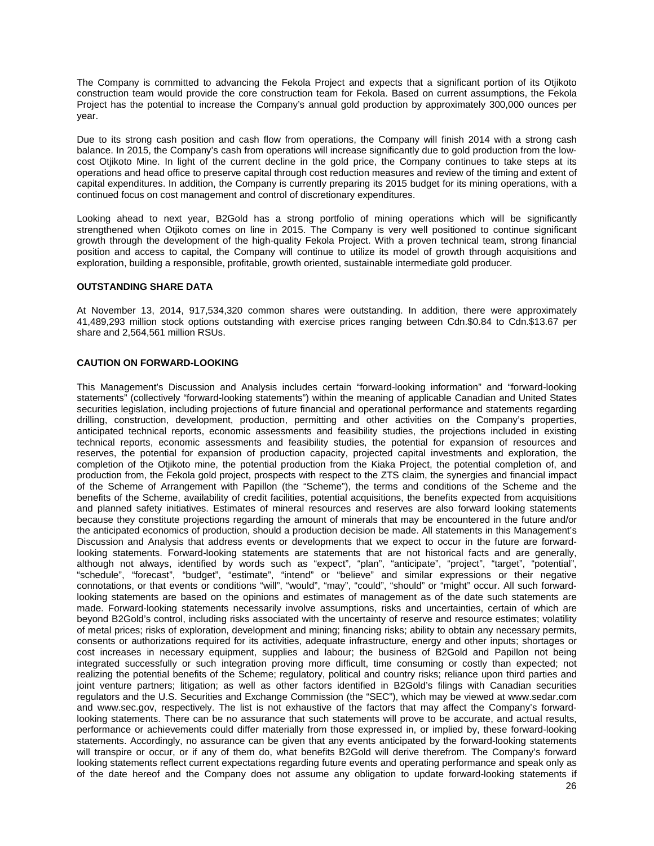The Company is committed to advancing the Fekola Project and expects that a significant portion of its Otjikoto construction team would provide the core construction team for Fekola. Based on current assumptions, the Fekola Project has the potential to increase the Company's annual gold production by approximately 300,000 ounces per year.

Due to its strong cash position and cash flow from operations, the Company will finish 2014 with a strong cash balance. In 2015, the Company's cash from operations will increase significantly due to gold production from the lowcost Otjikoto Mine. In light of the current decline in the gold price, the Company continues to take steps at its operations and head office to preserve capital through cost reduction measures and review of the timing and extent of capital expenditures. In addition, the Company is currently preparing its 2015 budget for its mining operations, with a continued focus on cost management and control of discretionary expenditures.

Looking ahead to next year, B2Gold has a strong portfolio of mining operations which will be significantly strengthened when Otjikoto comes on line in 2015. The Company is very well positioned to continue significant growth through the development of the high-quality Fekola Project. With a proven technical team, strong financial position and access to capital, the Company will continue to utilize its model of growth through acquisitions and exploration, building a responsible, profitable, growth oriented, sustainable intermediate gold producer.

### **OUTSTANDING SHARE DATA**

At November 13, 2014, 917,534,320 common shares were outstanding. In addition, there were approximately 41,489,293 million stock options outstanding with exercise prices ranging between Cdn.\$0.84 to Cdn.\$13.67 per share and 2,564,561 million RSUs.

### **CAUTION ON FORWARD-LOOKING**

This Management's Discussion and Analysis includes certain "forward-looking information" and "forward-looking statements" (collectively "forward-looking statements") within the meaning of applicable Canadian and United States securities legislation, including projections of future financial and operational performance and statements regarding drilling, construction, development, production, permitting and other activities on the Company's properties, anticipated technical reports, economic assessments and feasibility studies, the projections included in existing technical reports, economic assessments and feasibility studies, the potential for expansion of resources and reserves, the potential for expansion of production capacity, projected capital investments and exploration, the completion of the Otjikoto mine, the potential production from the Kiaka Project, the potential completion of, and production from, the Fekola gold project, prospects with respect to the ZTS claim, the synergies and financial impact of the Scheme of Arrangement with Papillon (the "Scheme"), the terms and conditions of the Scheme and the benefits of the Scheme, availability of credit facilities, potential acquisitions, the benefits expected from acquisitions and planned safety initiatives. Estimates of mineral resources and reserves are also forward looking statements because they constitute projections regarding the amount of minerals that may be encountered in the future and/or the anticipated economics of production, should a production decision be made. All statements in this Management's Discussion and Analysis that address events or developments that we expect to occur in the future are forwardlooking statements. Forward-looking statements are statements that are not historical facts and are generally, although not always, identified by words such as "expect", "plan", "anticipate", "project", "target", "potential", "schedule", "forecast", "budget", "estimate", "intend" or "believe" and similar expressions or their negative connotations, or that events or conditions "will", "would", "may", "could", "should" or "might" occur. All such forwardlooking statements are based on the opinions and estimates of management as of the date such statements are made. Forward-looking statements necessarily involve assumptions, risks and uncertainties, certain of which are beyond B2Gold's control, including risks associated with the uncertainty of reserve and resource estimates; volatility of metal prices; risks of exploration, development and mining; financing risks; ability to obtain any necessary permits, consents or authorizations required for its activities, adequate infrastructure, energy and other inputs; shortages or cost increases in necessary equipment, supplies and labour; the business of B2Gold and Papillon not being integrated successfully or such integration proving more difficult, time consuming or costly than expected; not realizing the potential benefits of the Scheme; regulatory, political and country risks; reliance upon third parties and joint venture partners; litigation; as well as other factors identified in B2Gold's filings with Canadian securities regulators and the U.S. Securities and Exchange Commission (the "SEC"), which may be viewed at www.sedar.com and www.sec.gov, respectively. The list is not exhaustive of the factors that may affect the Company's forwardlooking statements. There can be no assurance that such statements will prove to be accurate, and actual results, performance or achievements could differ materially from those expressed in, or implied by, these forward-looking statements. Accordingly, no assurance can be given that any events anticipated by the forward-looking statements will transpire or occur, or if any of them do, what benefits B2Gold will derive therefrom. The Company's forward looking statements reflect current expectations regarding future events and operating performance and speak only as of the date hereof and the Company does not assume any obligation to update forward-looking statements if